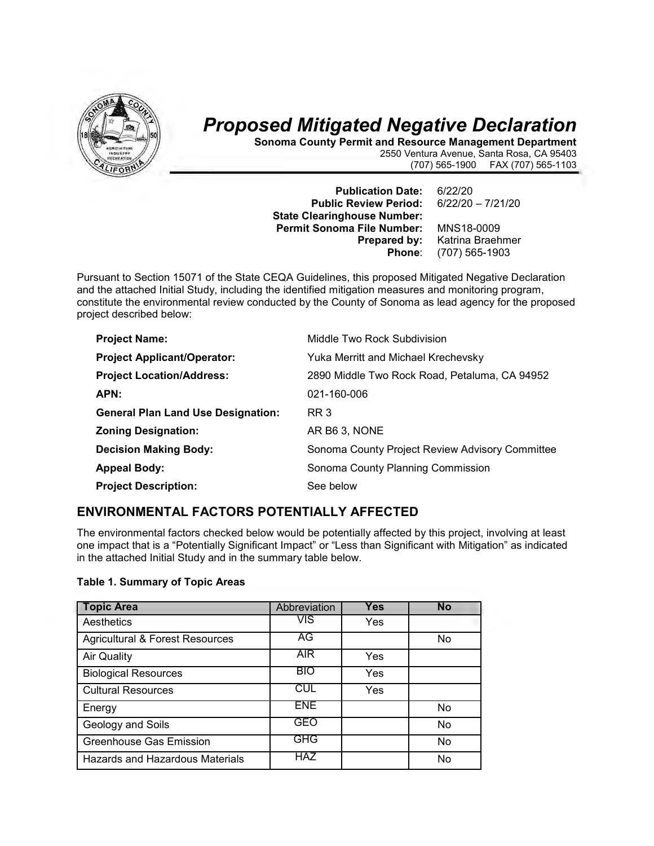

# *Proposed Mitigated Negative Declaration*

**Sonoma County Permit and Resource Management Department** 2550 Ventura Avenue, Santa Rosa, CA 95403 FAX (707) 565-1103

**Publication Date:** 6/22/20 **Public Review Period: State Clearinghouse Number: Permit Sonoma File Number:** MNS18-0009<br>**Prepared by:** Katrina Braeh

**Prepared by:** Katrina Braehmer<br> **Phone**: (707) 565-1903 **Phone**: (707) 565-1903

Pursuant to Section 15071 of the State CEQA Guidelines, this proposed Mitigated Negative Declaration and the attached Initial Study, including the identified mitigation measures and monitoring program, constitute the environmental review conducted by the County of Sonoma as lead agency for the proposed project described below:

| <b>Project Name:</b>                      | Middle Two Rock Subdivision                     |
|-------------------------------------------|-------------------------------------------------|
| <b>Project Applicant/Operator:</b>        | Yuka Merritt and Michael Krechevsky             |
| <b>Project Location/Address:</b>          | 2890 Middle Two Rock Road, Petaluma, CA 94952   |
| APN:                                      | 021-160-006                                     |
| <b>General Plan Land Use Designation:</b> | RR 3                                            |
| <b>Zoning Designation:</b>                | AR B6 3, NONE                                   |
| <b>Decision Making Body:</b>              | Sonoma County Project Review Advisory Committee |
| <b>Appeal Body:</b>                       | Sonoma County Planning Commission               |
| <b>Project Description:</b>               | See below                                       |

### **ENVIRONMENTAL FACTORS POTENTIALLY AFFECTED**

The environmental factors checked below would be potentially affected by this project, involving at least one impact that is a "Potentially Significant Impact" or "Less than Significant with Mitigation" as indicated in the attached Initial Study and in the summary table below.

#### **Table 1. Summary of Topic Areas**

| <b>Topic Area</b>                          | Abbreviation | <b>Yes</b> | <b>No</b> |
|--------------------------------------------|--------------|------------|-----------|
| Aesthetics                                 | <b>VIS</b>   | Yes        |           |
| <b>Agricultural &amp; Forest Resources</b> | AG           |            | No        |
| <b>Air Quality</b>                         | <b>AIR</b>   | Yes        |           |
| <b>Biological Resources</b>                | <b>BIO</b>   | Yes        |           |
| <b>Cultural Resources</b>                  | <b>CUL</b>   | Yes        |           |
| Energy                                     | <b>ENE</b>   |            | No        |
| Geology and Soils                          | GEO          |            | No        |
| <b>Greenhouse Gas Emission</b>             | GHG          |            | No        |
| Hazards and Hazardous Materials            | <b>HAZ</b>   |            | No        |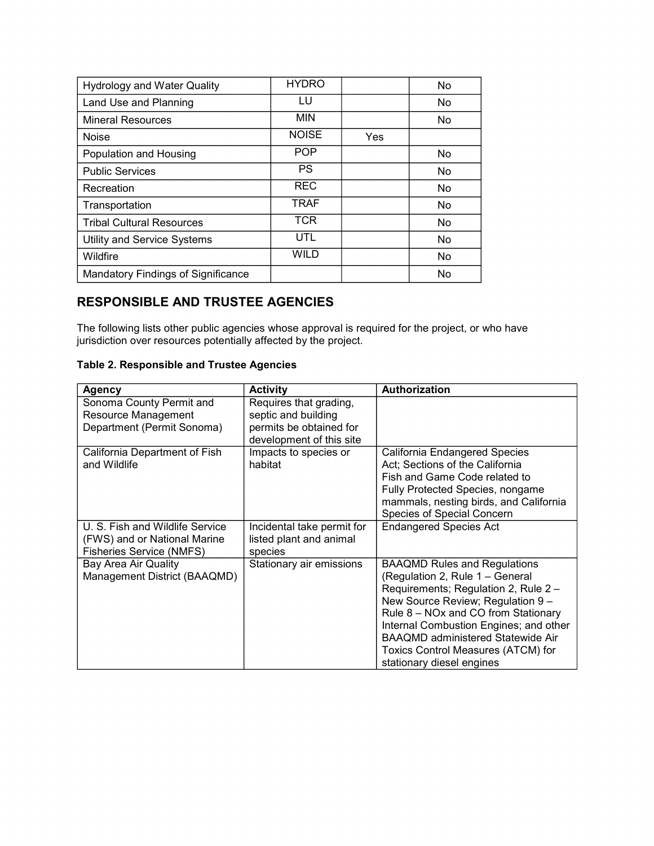| <b>Hydrology and Water Quality</b> | <b>HYDRO</b> |     | <b>No</b> |
|------------------------------------|--------------|-----|-----------|
| Land Use and Planning              | LU           |     | No        |
| <b>Mineral Resources</b>           | <b>MIN</b>   |     | No        |
| <b>Noise</b>                       | <b>NOISE</b> | Yes |           |
| Population and Housing             | <b>POP</b>   |     | No        |
| <b>Public Services</b>             | <b>PS</b>    |     | <b>No</b> |
| Recreation                         | <b>REC</b>   |     | No        |
| Transportation                     | <b>TRAF</b>  |     | No        |
| <b>Tribal Cultural Resources</b>   | <b>TCR</b>   |     | No        |
| <b>Utility and Service Systems</b> | UTL          |     | <b>No</b> |
| Wildfire                           | <b>WILD</b>  |     | <b>No</b> |
| Mandatory Findings of Significance |              |     | No        |

### **RESPONSIBLE AND TRUSTEE AGENCIES**

The following lists other public agencies whose approval is required for the project, or who have jurisdiction over resources potentially affected by the project.

#### **Table 2. Responsible and Trustee Agencies**

| <b>Agency</b>                                                                                      | <b>Activity</b>                                                                                      | Authorization                                                                                                                                                                                                                                                                                                                                       |
|----------------------------------------------------------------------------------------------------|------------------------------------------------------------------------------------------------------|-----------------------------------------------------------------------------------------------------------------------------------------------------------------------------------------------------------------------------------------------------------------------------------------------------------------------------------------------------|
| Sonoma County Permit and<br>Resource Management<br>Department (Permit Sonoma)                      | Requires that grading,<br>septic and building<br>permits be obtained for<br>development of this site |                                                                                                                                                                                                                                                                                                                                                     |
| California Department of Fish<br>and Wildlife                                                      | Impacts to species or<br>habitat                                                                     | California Endangered Species<br>Act; Sections of the California<br>Fish and Game Code related to<br>Fully Protected Species, nongame<br>mammals, nesting birds, and California<br>Species of Special Concern                                                                                                                                       |
| U. S. Fish and Wildlife Service<br>(FWS) and or National Marine<br><b>Fisheries Service (NMFS)</b> | Incidental take permit for<br>listed plant and animal<br>species                                     | <b>Endangered Species Act</b>                                                                                                                                                                                                                                                                                                                       |
| Bay Area Air Quality<br>Management District (BAAQMD)                                               | Stationary air emissions                                                                             | <b>BAAQMD Rules and Regulations</b><br>(Regulation 2, Rule 1 - General<br>Requirements; Regulation 2, Rule 2 -<br>New Source Review; Regulation 9 -<br>Rule 8 - NOx and CO from Stationary<br>Internal Combustion Engines; and other<br><b>BAAQMD administered Statewide Air</b><br>Toxics Control Measures (ATCM) for<br>stationary diesel engines |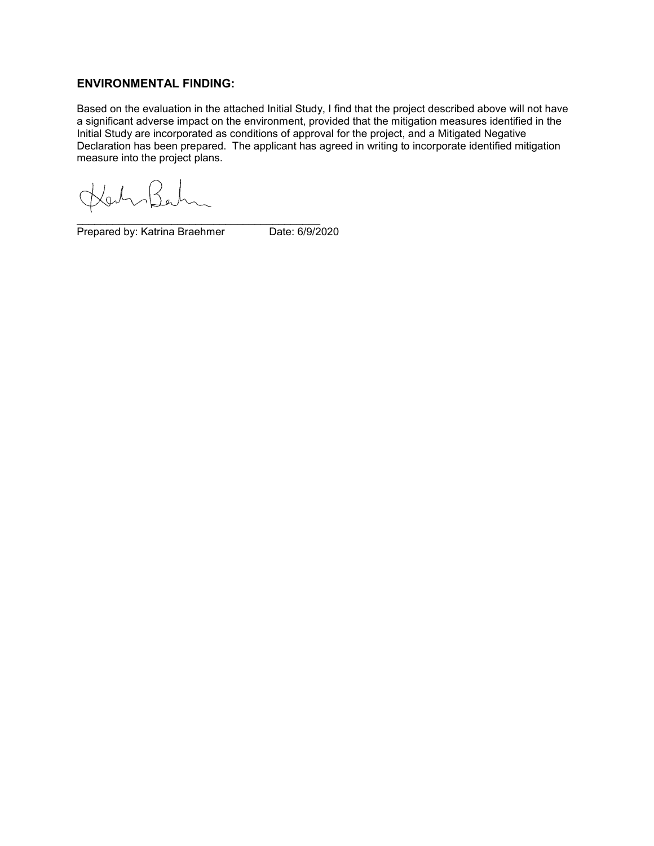#### **ENVIRONMENTAL FINDING:**

Based on the evaluation in the attached Initial Study, I find that the project described above will not have a significant adverse impact on the environment, provided that the mitigation measures identified in the Initial Study are incorporated as conditions of approval for the project, and a Mitigated Negative Declaration has been prepared. The applicant has agreed in writing to incorporate identified mitigation measure into the project plans.

(Za

\_\_\_\_\_\_\_\_\_\_\_\_\_\_\_\_\_\_\_\_\_\_\_\_\_\_\_\_\_\_\_\_\_\_\_\_\_\_\_\_\_ Prepared by: Katrina Braehmer Date: 6/9/2020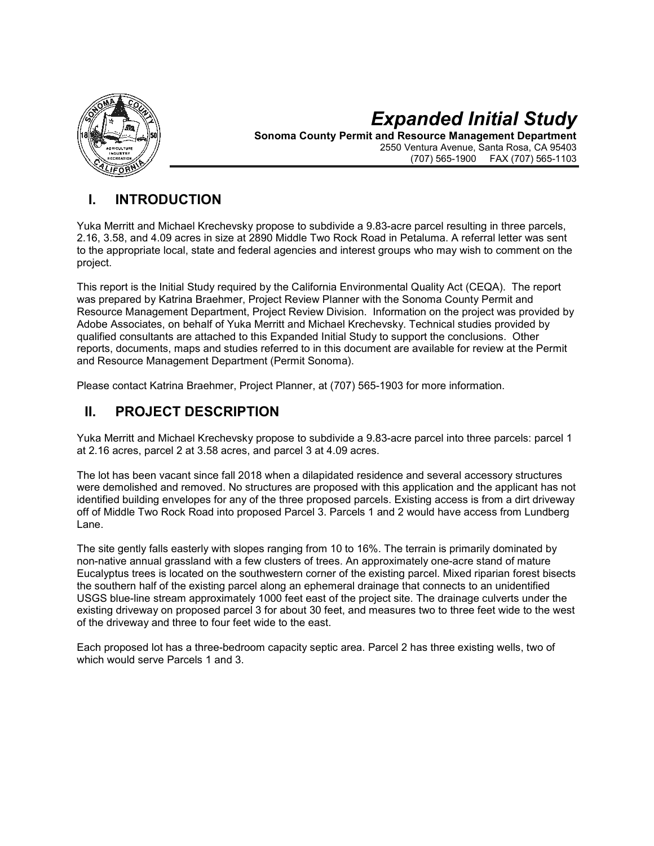

# *Expanded Initial Study*

**Sonoma County Permit and Resource Management Department** 2550 Ventura Avenue, Santa Rosa, CA 95403 FAX (707) 565-1103

### **I. INTRODUCTION**

Yuka Merritt and Michael Krechevsky propose to subdivide a 9.83-acre parcel resulting in three parcels, 2.16, 3.58, and 4.09 acres in size at 2890 Middle Two Rock Road in Petaluma. A referral letter was sent to the appropriate local, state and federal agencies and interest groups who may wish to comment on the project.

This report is the Initial Study required by the California Environmental Quality Act (CEQA). The report was prepared by Katrina Braehmer, Project Review Planner with the Sonoma County Permit and Resource Management Department, Project Review Division. Information on the project was provided by Adobe Associates, on behalf of Yuka Merritt and Michael Krechevsky. Technical studies provided by qualified consultants are attached to this Expanded Initial Study to support the conclusions. Other reports, documents, maps and studies referred to in this document are available for review at the Permit and Resource Management Department (Permit Sonoma).

Please contact Katrina Braehmer, Project Planner, at (707) 565-1903 for more information.

### **II. PROJECT DESCRIPTION**

Yuka Merritt and Michael Krechevsky propose to subdivide a 9.83-acre parcel into three parcels: parcel 1 at 2.16 acres, parcel 2 at 3.58 acres, and parcel 3 at 4.09 acres.

The lot has been vacant since fall 2018 when a dilapidated residence and several accessory structures were demolished and removed. No structures are proposed with this application and the applicant has not identified building envelopes for any of the three proposed parcels. Existing access is from a dirt driveway off of Middle Two Rock Road into proposed Parcel 3. Parcels 1 and 2 would have access from Lundberg Lane.

The site gently falls easterly with slopes ranging from 10 to 16%. The terrain is primarily dominated by non-native annual grassland with a few clusters of trees. An approximately one-acre stand of mature Eucalyptus trees is located on the southwestern corner of the existing parcel. Mixed riparian forest bisects the southern half of the existing parcel along an ephemeral drainage that connects to an unidentified USGS blue-line stream approximately 1000 feet east of the project site. The drainage culverts under the existing driveway on proposed parcel 3 for about 30 feet, and measures two to three feet wide to the west of the driveway and three to four feet wide to the east.

Each proposed lot has a three-bedroom capacity septic area. Parcel 2 has three existing wells, two of which would serve Parcels 1 and 3.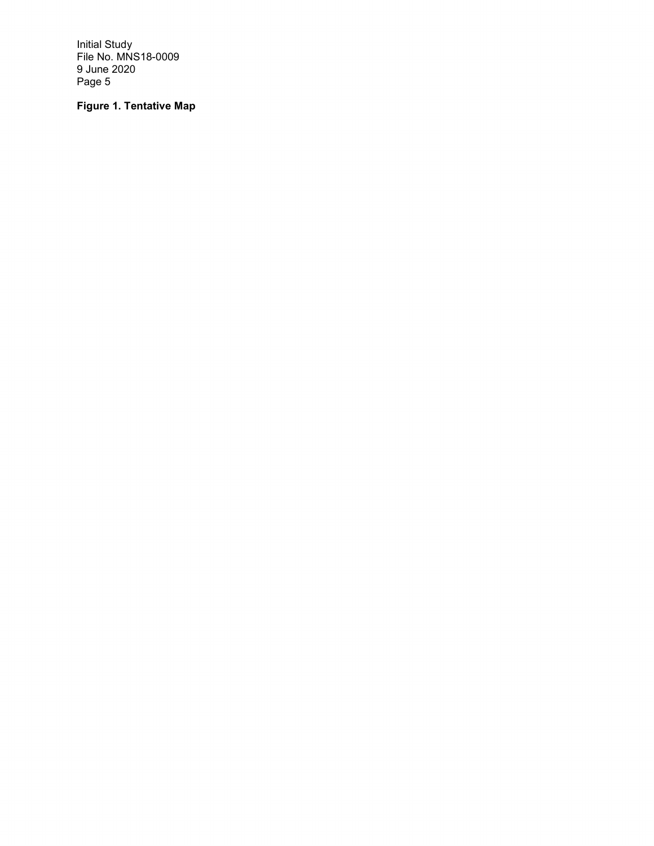### **Figure 1. Tentative Map**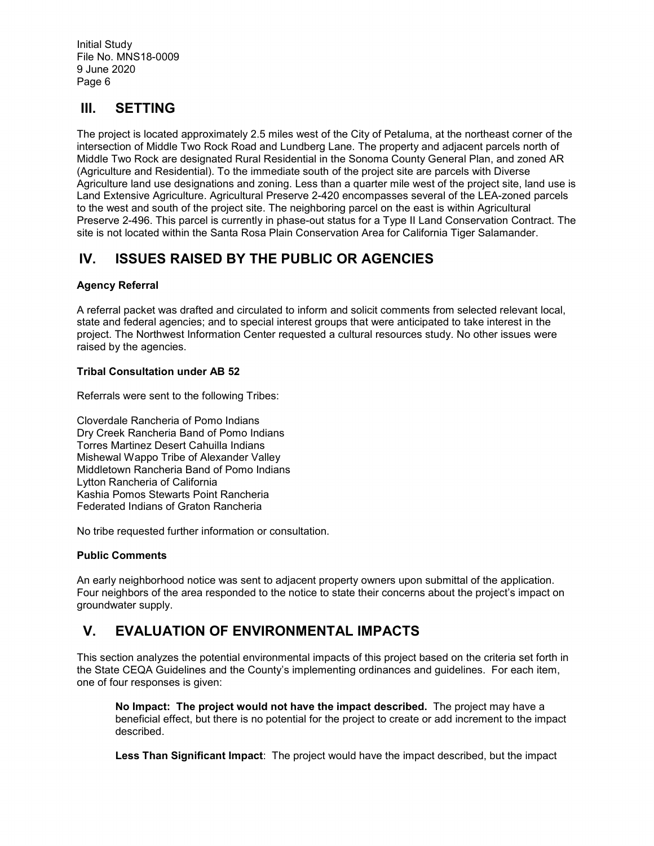### **III. SETTING**

The project is located approximately 2.5 miles west of the City of Petaluma, at the northeast corner of the intersection of Middle Two Rock Road and Lundberg Lane. The property and adjacent parcels north of Middle Two Rock are designated Rural Residential in the Sonoma County General Plan, and zoned AR (Agriculture and Residential). To the immediate south of the project site are parcels with Diverse Agriculture land use designations and zoning. Less than a quarter mile west of the project site, land use is Land Extensive Agriculture. Agricultural Preserve 2-420 encompasses several of the LEA-zoned parcels to the west and south of the project site. The neighboring parcel on the east is within Agricultural Preserve 2-496. This parcel is currently in phase-out status for a Type II Land Conservation Contract. The site is not located within the Santa Rosa Plain Conservation Area for California Tiger Salamander.

### **IV. ISSUES RAISED BY THE PUBLIC OR AGENCIES**

#### **Agency Referral**

A referral packet was drafted and circulated to inform and solicit comments from selected relevant local, state and federal agencies; and to special interest groups that were anticipated to take interest in the project. The Northwest Information Center requested a cultural resources study. No other issues were raised by the agencies.

#### **Tribal Consultation under AB 52**

Referrals were sent to the following Tribes:

Cloverdale Rancheria of Pomo Indians Dry Creek Rancheria Band of Pomo Indians Torres Martinez Desert Cahuilla Indians Mishewal Wappo Tribe of Alexander Valley Middletown Rancheria Band of Pomo Indians Lytton Rancheria of California Kashia Pomos Stewarts Point Rancheria Federated Indians of Graton Rancheria

No tribe requested further information or consultation.

#### **Public Comments**

An early neighborhood notice was sent to adjacent property owners upon submittal of the application. Four neighbors of the area responded to the notice to state their concerns about the project's impact on groundwater supply.

### **V. EVALUATION OF ENVIRONMENTAL IMPACTS**

This section analyzes the potential environmental impacts of this project based on the criteria set forth in the State CEQA Guidelines and the County's implementing ordinances and guidelines. For each item, one of four responses is given:

**No Impact: The project would not have the impact described.** The project may have a beneficial effect, but there is no potential for the project to create or add increment to the impact described.

**Less Than Significant Impact**: The project would have the impact described, but the impact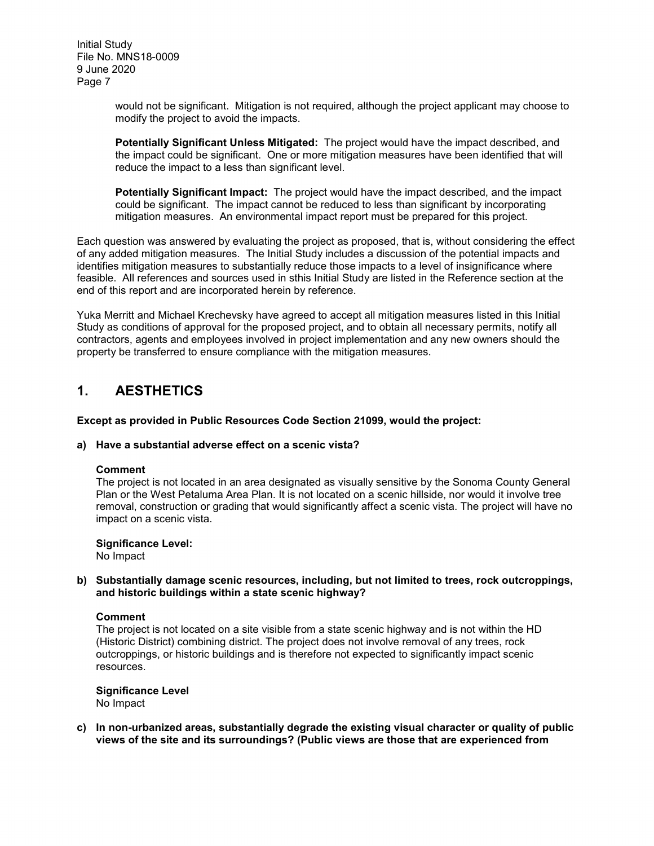> would not be significant. Mitigation is not required, although the project applicant may choose to modify the project to avoid the impacts.

**Potentially Significant Unless Mitigated:** The project would have the impact described, and the impact could be significant. One or more mitigation measures have been identified that will reduce the impact to a less than significant level.

**Potentially Significant Impact:** The project would have the impact described, and the impact could be significant. The impact cannot be reduced to less than significant by incorporating mitigation measures. An environmental impact report must be prepared for this project.

Each question was answered by evaluating the project as proposed, that is, without considering the effect of any added mitigation measures. The Initial Study includes a discussion of the potential impacts and identifies mitigation measures to substantially reduce those impacts to a level of insignificance where feasible. All references and sources used in sthis Initial Study are listed in the Reference section at the end of this report and are incorporated herein by reference.

Yuka Merritt and Michael Krechevsky have agreed to accept all mitigation measures listed in this Initial Study as conditions of approval for the proposed project, and to obtain all necessary permits, notify all contractors, agents and employees involved in project implementation and any new owners should the property be transferred to ensure compliance with the mitigation measures.

### **1. AESTHETICS**

**Except as provided in Public Resources Code Section 21099, would the project:**

#### **a) Have a substantial adverse effect on a scenic vista?**

#### **Comment**

The project is not located in an area designated as visually sensitive by the Sonoma County General Plan or the West Petaluma Area Plan. It is not located on a scenic hillside, nor would it involve tree removal, construction or grading that would significantly affect a scenic vista. The project will have no impact on a scenic vista.

#### **Significance Level:**

No Impact

#### **b) Substantially damage scenic resources, including, but not limited to trees, rock outcroppings, and historic buildings within a state scenic highway?**

#### **Comment**

The project is not located on a site visible from a state scenic highway and is not within the HD (Historic District) combining district. The project does not involve removal of any trees, rock outcroppings, or historic buildings and is therefore not expected to significantly impact scenic resources.

**Significance Level** No Impact

**c) In non-urbanized areas, substantially degrade the existing visual character or quality of public views of the site and its surroundings? (Public views are those that are experienced from**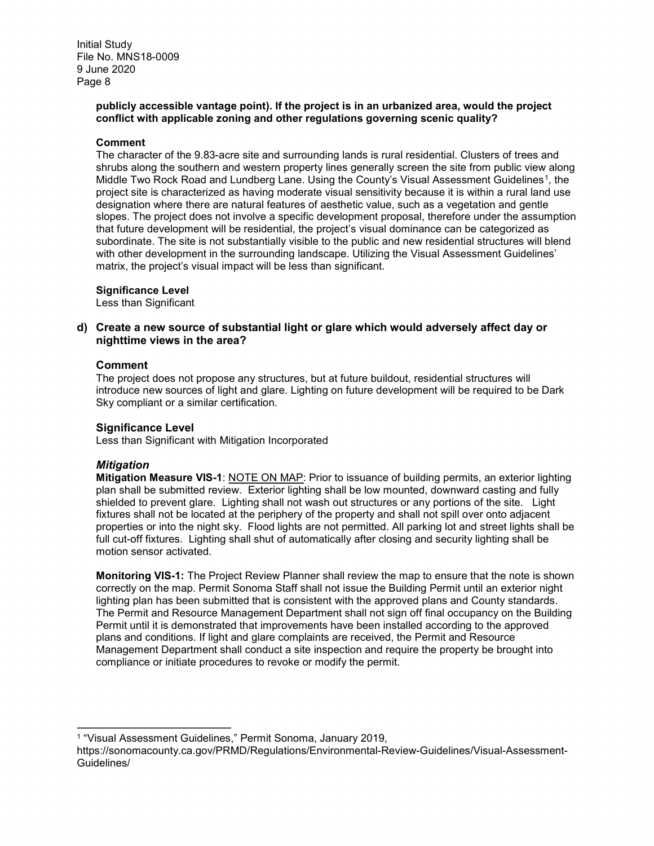#### **publicly accessible vantage point). If the project is in an urbanized area, would the project conflict with applicable zoning and other regulations governing scenic quality?**

#### **Comment**

The character of the 9.83-acre site and surrounding lands is rural residential. Clusters of trees and shrubs along the southern and western property lines generally screen the site from public view along Middle Two Rock Road and Lundberg Lane. Using the County's Visual Assessment Guidelines<sup>1</sup>, the project site is characterized as having moderate visual sensitivity because it is within a rural land use designation where there are natural features of aesthetic value, such as a vegetation and gentle slopes. The project does not involve a specific development proposal, therefore under the assumption that future development will be residential, the project's visual dominance can be categorized as subordinate. The site is not substantially visible to the public and new residential structures will blend with other development in the surrounding landscape. Utilizing the Visual Assessment Guidelines' matrix, the project's visual impact will be less than significant.

#### **Significance Level**

Less than Significant

#### **d) Create a new source of substantial light or glare which would adversely affect day or nighttime views in the area?**

#### **Comment**

The project does not propose any structures, but at future buildout, residential structures will introduce new sources of light and glare. Lighting on future development will be required to be Dark Sky compliant or a similar certification.

#### **Significance Level**

Less than Significant with Mitigation Incorporated

#### *Mitigation*

**Mitigation Measure VIS-1**: NOTE ON MAP: Prior to issuance of building permits, an exterior lighting plan shall be submitted review. Exterior lighting shall be low mounted, downward casting and fully shielded to prevent glare. Lighting shall not wash out structures or any portions of the site. Light fixtures shall not be located at the periphery of the property and shall not spill over onto adjacent properties or into the night sky. Flood lights are not permitted. All parking lot and street lights shall be full cut-off fixtures. Lighting shall shut of automatically after closing and security lighting shall be motion sensor activated.

**Monitoring VIS-1:** The Project Review Planner shall review the map to ensure that the note is shown correctly on the map. Permit Sonoma Staff shall not issue the Building Permit until an exterior night lighting plan has been submitted that is consistent with the approved plans and County standards. The Permit and Resource Management Department shall not sign off final occupancy on the Building Permit until it is demonstrated that improvements have been installed according to the approved plans and conditions. If light and glare complaints are received, the Permit and Resource Management Department shall conduct a site inspection and require the property be brought into compliance or initiate procedures to revoke or modify the permit.

l <sup>1</sup> "Visual Assessment Guidelines," Permit Sonoma, January 2019,

<span id="page-7-0"></span>https://sonomacounty.ca.gov/PRMD/Regulations/Environmental-Review-Guidelines/Visual-Assessment-Guidelines/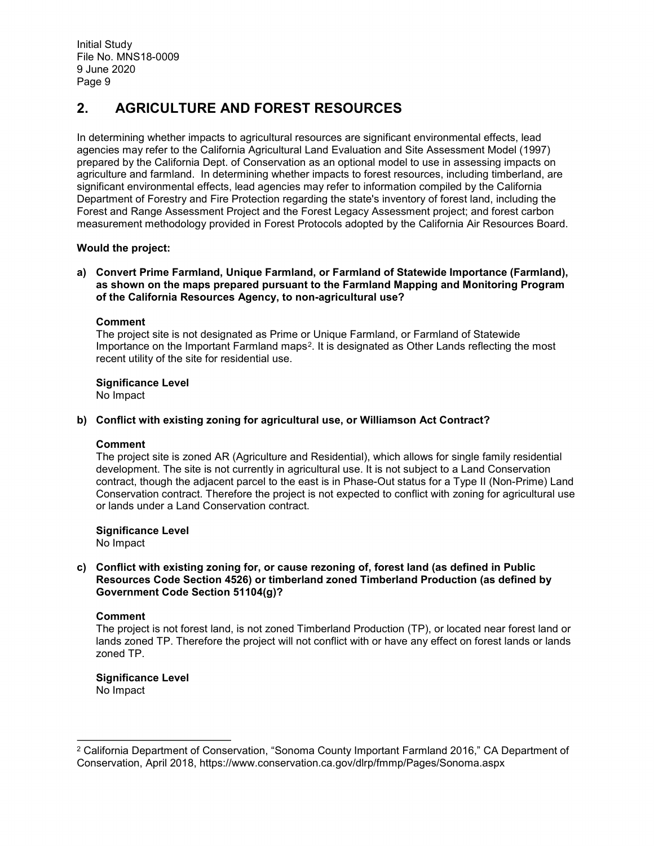### **2. AGRICULTURE AND FOREST RESOURCES**

In determining whether impacts to agricultural resources are significant environmental effects, lead agencies may refer to the California Agricultural Land Evaluation and Site Assessment Model (1997) prepared by the California Dept. of Conservation as an optional model to use in assessing impacts on agriculture and farmland. In determining whether impacts to forest resources, including timberland, are significant environmental effects, lead agencies may refer to information compiled by the California Department of Forestry and Fire Protection regarding the state's inventory of forest land, including the Forest and Range Assessment Project and the Forest Legacy Assessment project; and forest carbon measurement methodology provided in Forest Protocols adopted by the California Air Resources Board.

#### **Would the project:**

#### **a) Convert Prime Farmland, Unique Farmland, or Farmland of Statewide Importance (Farmland), as shown on the maps prepared pursuant to the Farmland Mapping and Monitoring Program of the California Resources Agency, to non-agricultural use?**

#### **Comment**

The project site is not designated as Prime or Unique Farmland, or Farmland of Statewide Importance on the Important Farmland maps<sup>2</sup>. It is designated as Other Lands reflecting the most recent utility of the site for residential use.

#### **Significance Level**

No Impact

#### **b) Conflict with existing zoning for agricultural use, or Williamson Act Contract?**

#### **Comment**

The project site is zoned AR (Agriculture and Residential), which allows for single family residential development. The site is not currently in agricultural use. It is not subject to a Land Conservation contract, though the adjacent parcel to the east is in Phase-Out status for a Type II (Non-Prime) Land Conservation contract. Therefore the project is not expected to conflict with zoning for agricultural use or lands under a Land Conservation contract.

**Significance Level** No Impact

#### **c) Conflict with existing zoning for, or cause rezoning of, forest land (as defined in Public Resources Code Section 4526) or timberland zoned Timberland Production (as defined by Government Code Section 51104(g)?**

#### **Comment**

 $\overline{a}$ 

The project is not forest land, is not zoned Timberland Production (TP), or located near forest land or lands zoned TP. Therefore the project will not conflict with or have any effect on forest lands or lands zoned TP.

#### **Significance Level** No Impact

<span id="page-8-0"></span><sup>2</sup> California Department of Conservation, "Sonoma County Important Farmland 2016," CA Department of Conservation, April 2018, https://www.conservation.ca.gov/dlrp/fmmp/Pages/Sonoma.aspx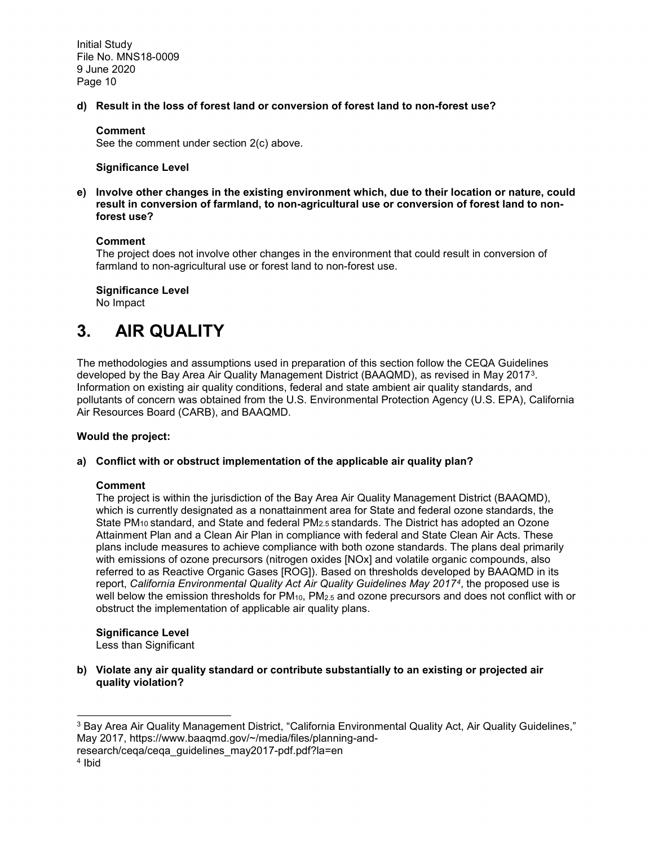**d) Result in the loss of forest land or conversion of forest land to non-forest use?**

#### **Comment**

See the comment under section 2(c) above.

#### **Significance Level**

**e) Involve other changes in the existing environment which, due to their location or nature, could result in conversion of farmland, to non-agricultural use or conversion of forest land to nonforest use?**

#### **Comment**

The project does not involve other changes in the environment that could result in conversion of farmland to non-agricultural use or forest land to non-forest use.

**Significance Level** 

No Impact

# **3. AIR QUALITY**

The methodologies and assumptions used in preparation of this section follow the CEQA Guidelines developed by the Bay Area Air Quality Management District (BAAQMD), as revised in May 2017[3.](#page-9-0) Information on existing air quality conditions, federal and state ambient air quality standards, and pollutants of concern was obtained from the U.S. Environmental Protection Agency (U.S. EPA), California Air Resources Board (CARB), and BAAQMD.

#### **Would the project:**

#### **a) Conflict with or obstruct implementation of the applicable air quality plan?**

#### **Comment**

The project is within the jurisdiction of the Bay Area Air Quality Management District (BAAQMD), which is currently designated as a nonattainment area for State and federal ozone standards, the State PM10 standard, and State and federal PM2.5 standards. The District has adopted an Ozone Attainment Plan and a Clean Air Plan in compliance with federal and State Clean Air Acts. These plans include measures to achieve compliance with both ozone standards. The plans deal primarily with emissions of ozone precursors (nitrogen oxides [NOx] and volatile organic compounds, also referred to as Reactive Organic Gases [ROG]). Based on thresholds developed by BAAQMD in its report, *California Environmental Quality Act Air Quality Guidelines May 2017[4](#page-9-1)*, the proposed use is well below the emission thresholds for  $PM_{10}$ ,  $PM_{2.5}$  and ozone precursors and does not conflict with or obstruct the implementation of applicable air quality plans.

### **Significance Level**

Less than Significant

**b) Violate any air quality standard or contribute substantially to an existing or projected air quality violation?**

<span id="page-9-1"></span>research/ceqa/ceqa\_guidelines\_may2017-pdf.pdf?la=en

<span id="page-9-0"></span> $\overline{a}$ <sup>3</sup> Bay Area Air Quality Management District, "California Environmental Quality Act, Air Quality Guidelines," May 2017, https://www.baaqmd.gov/~/media/files/planning-and-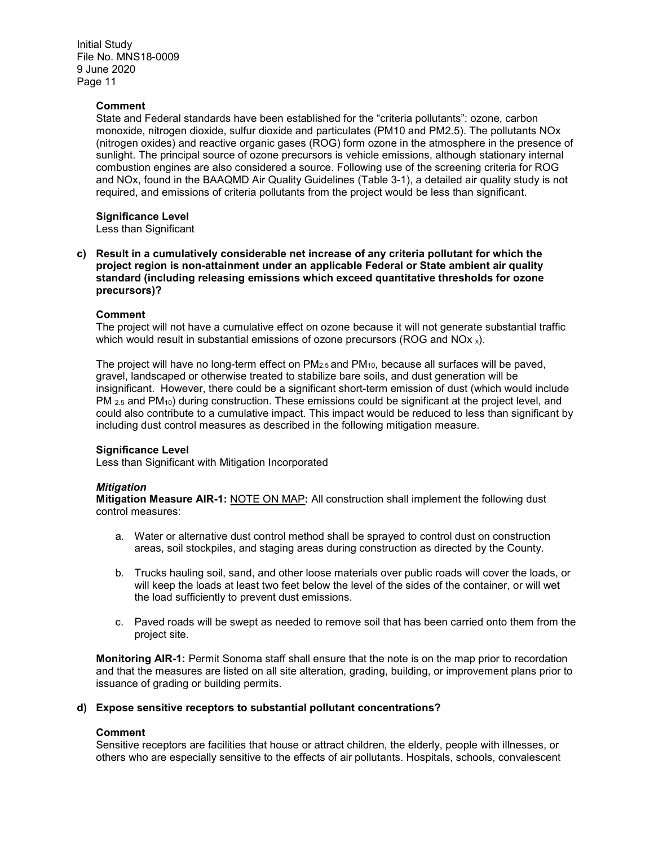#### **Comment**

State and Federal standards have been established for the "criteria pollutants": ozone, carbon monoxide, nitrogen dioxide, sulfur dioxide and particulates (PM10 and PM2.5). The pollutants NOx (nitrogen oxides) and reactive organic gases (ROG) form ozone in the atmosphere in the presence of sunlight. The principal source of ozone precursors is vehicle emissions, although stationary internal combustion engines are also considered a source. Following use of the screening criteria for ROG and NOx, found in the BAAQMD Air Quality Guidelines (Table 3-1), a detailed air quality study is not required, and emissions of criteria pollutants from the project would be less than significant.

#### **Significance Level**

Less than Significant

**c) Result in a cumulatively considerable net increase of any criteria pollutant for which the project region is non-attainment under an applicable Federal or State ambient air quality standard (including releasing emissions which exceed quantitative thresholds for ozone precursors)?**

#### **Comment**

The project will not have a cumulative effect on ozone because it will not generate substantial traffic which would result in substantial emissions of ozone precursors (ROG and NOx  $_{x}$ ).

The project will have no long-term effect on PM2.5 and PM10, because all surfaces will be paved, gravel, landscaped or otherwise treated to stabilize bare soils, and dust generation will be insignificant. However, there could be a significant short-term emission of dust (which would include  $PM_{2.5}$  and PM<sub>10</sub>) during construction. These emissions could be significant at the project level, and could also contribute to a cumulative impact. This impact would be reduced to less than significant by including dust control measures as described in the following mitigation measure.

#### **Significance Level**

Less than Significant with Mitigation Incorporated

#### *Mitigation*

**Mitigation Measure AIR-1:** NOTE ON MAP**:** All construction shall implement the following dust control measures:

- a. Water or alternative dust control method shall be sprayed to control dust on construction areas, soil stockpiles, and staging areas during construction as directed by the County.
- b. Trucks hauling soil, sand, and other loose materials over public roads will cover the loads, or will keep the loads at least two feet below the level of the sides of the container, or will wet the load sufficiently to prevent dust emissions.
- c. Paved roads will be swept as needed to remove soil that has been carried onto them from the project site.

**Monitoring AIR-1:** Permit Sonoma staff shall ensure that the note is on the map prior to recordation and that the measures are listed on all site alteration, grading, building, or improvement plans prior to issuance of grading or building permits.

#### **d) Expose sensitive receptors to substantial pollutant concentrations?**

#### **Comment**

Sensitive receptors are facilities that house or attract children, the elderly, people with illnesses, or others who are especially sensitive to the effects of air pollutants. Hospitals, schools, convalescent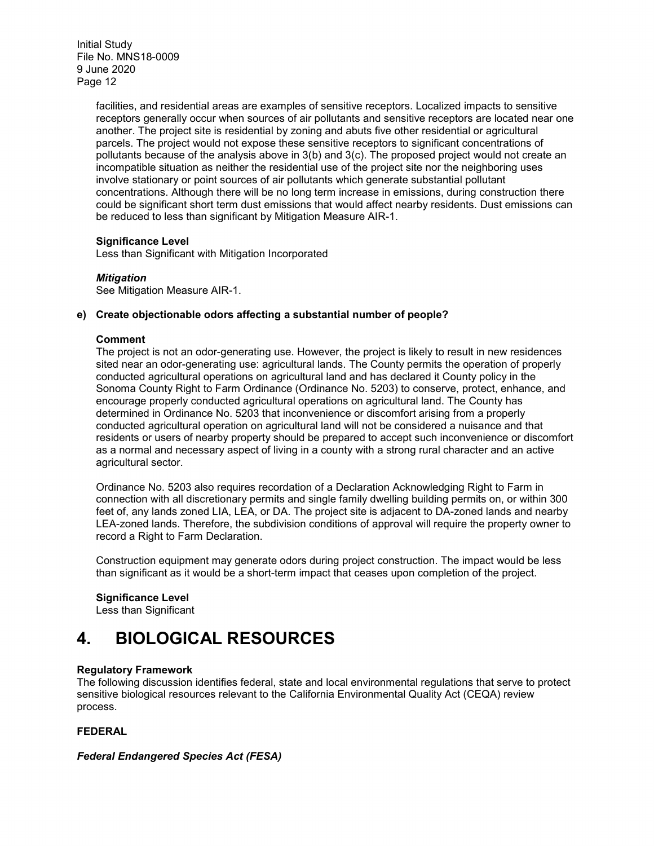> facilities, and residential areas are examples of sensitive receptors. Localized impacts to sensitive receptors generally occur when sources of air pollutants and sensitive receptors are located near one another. The project site is residential by zoning and abuts five other residential or agricultural parcels. The project would not expose these sensitive receptors to significant concentrations of pollutants because of the analysis above in 3(b) and 3(c). The proposed project would not create an incompatible situation as neither the residential use of the project site nor the neighboring uses involve stationary or point sources of air pollutants which generate substantial pollutant concentrations. Although there will be no long term increase in emissions, during construction there could be significant short term dust emissions that would affect nearby residents. Dust emissions can be reduced to less than significant by Mitigation Measure AIR-1.

#### **Significance Level**

Less than Significant with Mitigation Incorporated

#### *Mitigation*

See Mitigation Measure AIR-1.

#### **e) Create objectionable odors affecting a substantial number of people?**

#### **Comment**

The project is not an odor-generating use. However, the project is likely to result in new residences sited near an odor-generating use: agricultural lands. The County permits the operation of properly conducted agricultural operations on agricultural land and has declared it County policy in the Sonoma County Right to Farm Ordinance (Ordinance No. 5203) to conserve, protect, enhance, and encourage properly conducted agricultural operations on agricultural land. The County has determined in Ordinance No. 5203 that inconvenience or discomfort arising from a properly conducted agricultural operation on agricultural land will not be considered a nuisance and that residents or users of nearby property should be prepared to accept such inconvenience or discomfort as a normal and necessary aspect of living in a county with a strong rural character and an active agricultural sector.

Ordinance No. 5203 also requires recordation of a Declaration Acknowledging Right to Farm in connection with all discretionary permits and single family dwelling building permits on, or within 300 feet of, any lands zoned LIA, LEA, or DA. The project site is adjacent to DA-zoned lands and nearby LEA-zoned lands. Therefore, the subdivision conditions of approval will require the property owner to record a Right to Farm Declaration.

Construction equipment may generate odors during project construction. The impact would be less than significant as it would be a short-term impact that ceases upon completion of the project.

#### **Significance Level**

Less than Significant

# **4. BIOLOGICAL RESOURCES**

#### **Regulatory Framework**

The following discussion identifies federal, state and local environmental regulations that serve to protect sensitive biological resources relevant to the California Environmental Quality Act (CEQA) review process.

#### **FEDERAL**

#### *Federal Endangered Species Act (FESA)*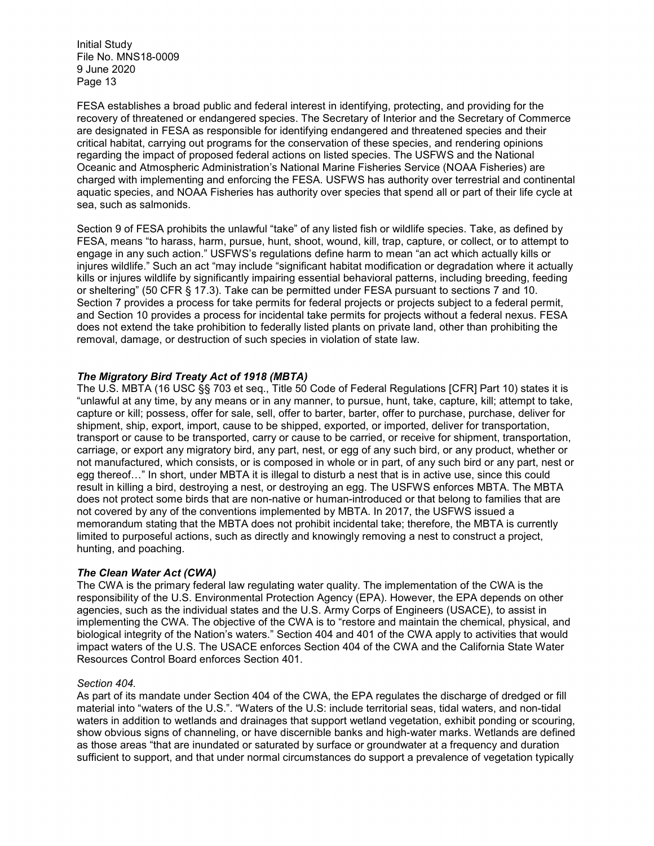FESA establishes a broad public and federal interest in identifying, protecting, and providing for the recovery of threatened or endangered species. The Secretary of Interior and the Secretary of Commerce are designated in FESA as responsible for identifying endangered and threatened species and their critical habitat, carrying out programs for the conservation of these species, and rendering opinions regarding the impact of proposed federal actions on listed species. The USFWS and the National Oceanic and Atmospheric Administration's National Marine Fisheries Service (NOAA Fisheries) are charged with implementing and enforcing the FESA. USFWS has authority over terrestrial and continental aquatic species, and NOAA Fisheries has authority over species that spend all or part of their life cycle at sea, such as salmonids.

Section 9 of FESA prohibits the unlawful "take" of any listed fish or wildlife species. Take, as defined by FESA, means "to harass, harm, pursue, hunt, shoot, wound, kill, trap, capture, or collect, or to attempt to engage in any such action." USFWS's regulations define harm to mean "an act which actually kills or injures wildlife." Such an act "may include "significant habitat modification or degradation where it actually kills or injures wildlife by significantly impairing essential behavioral patterns, including breeding, feeding or sheltering" (50 CFR § 17.3). Take can be permitted under FESA pursuant to sections 7 and 10. Section 7 provides a process for take permits for federal projects or projects subject to a federal permit, and Section 10 provides a process for incidental take permits for projects without a federal nexus. FESA does not extend the take prohibition to federally listed plants on private land, other than prohibiting the removal, damage, or destruction of such species in violation of state law.

#### *The Migratory Bird Treaty Act of 1918 (MBTA)*

The U.S. MBTA (16 USC §§ 703 et seq., Title 50 Code of Federal Regulations [CFR] Part 10) states it is "unlawful at any time, by any means or in any manner, to pursue, hunt, take, capture, kill; attempt to take, capture or kill; possess, offer for sale, sell, offer to barter, barter, offer to purchase, purchase, deliver for shipment, ship, export, import, cause to be shipped, exported, or imported, deliver for transportation, transport or cause to be transported, carry or cause to be carried, or receive for shipment, transportation, carriage, or export any migratory bird, any part, nest, or egg of any such bird, or any product, whether or not manufactured, which consists, or is composed in whole or in part, of any such bird or any part, nest or egg thereof…" In short, under MBTA it is illegal to disturb a nest that is in active use, since this could result in killing a bird, destroying a nest, or destroying an egg. The USFWS enforces MBTA. The MBTA does not protect some birds that are non-native or human-introduced or that belong to families that are not covered by any of the conventions implemented by MBTA. In 2017, the USFWS issued a memorandum stating that the MBTA does not prohibit incidental take; therefore, the MBTA is currently limited to purposeful actions, such as directly and knowingly removing a nest to construct a project, hunting, and poaching.

#### *The Clean Water Act (CWA)*

The CWA is the primary federal law regulating water quality. The implementation of the CWA is the responsibility of the U.S. Environmental Protection Agency (EPA). However, the EPA depends on other agencies, such as the individual states and the U.S. Army Corps of Engineers (USACE), to assist in implementing the CWA. The objective of the CWA is to "restore and maintain the chemical, physical, and biological integrity of the Nation's waters." Section 404 and 401 of the CWA apply to activities that would impact waters of the U.S. The USACE enforces Section 404 of the CWA and the California State Water Resources Control Board enforces Section 401.

#### *Section 404.*

As part of its mandate under Section 404 of the CWA, the EPA regulates the discharge of dredged or fill material into "waters of the U.S.". "Waters of the U.S: include territorial seas, tidal waters, and non-tidal waters in addition to wetlands and drainages that support wetland vegetation, exhibit ponding or scouring, show obvious signs of channeling, or have discernible banks and high-water marks. Wetlands are defined as those areas "that are inundated or saturated by surface or groundwater at a frequency and duration sufficient to support, and that under normal circumstances do support a prevalence of vegetation typically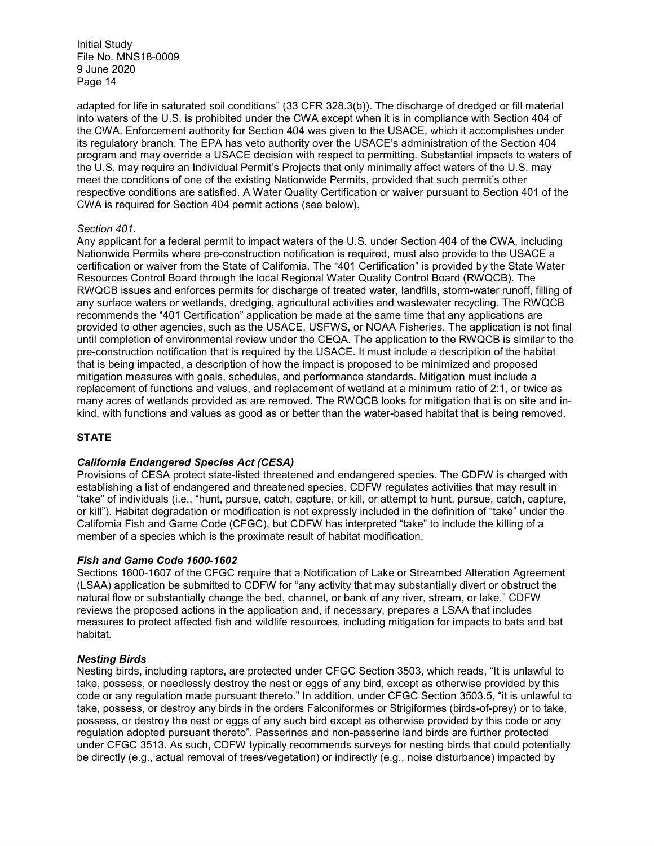adapted for life in saturated soil conditions" (33 CFR 328.3(b)). The discharge of dredged or fill material into waters of the U.S. is prohibited under the CWA except when it is in compliance with Section 404 of the CWA. Enforcement authority for Section 404 was given to the USACE, which it accomplishes under its regulatory branch. The EPA has veto authority over the USACE's administration of the Section 404 program and may override a USACE decision with respect to permitting. Substantial impacts to waters of the U.S. may require an Individual Permit's Projects that only minimally affect waters of the U.S. may meet the conditions of one of the existing Nationwide Permits, provided that such permit's other respective conditions are satisfied. A Water Quality Certification or waiver pursuant to Section 401 of the CWA is required for Section 404 permit actions (see below).

#### *Section 401.*

Any applicant for a federal permit to impact waters of the U.S. under Section 404 of the CWA, including Nationwide Permits where pre-construction notification is required, must also provide to the USACE a certification or waiver from the State of California. The "401 Certification" is provided by the State Water Resources Control Board through the local Regional Water Quality Control Board (RWQCB). The RWQCB issues and enforces permits for discharge of treated water, landfills, storm-water runoff, filling of any surface waters or wetlands, dredging, agricultural activities and wastewater recycling. The RWQCB recommends the "401 Certification" application be made at the same time that any applications are provided to other agencies, such as the USACE, USFWS, or NOAA Fisheries. The application is not final until completion of environmental review under the CEQA. The application to the RWQCB is similar to the pre-construction notification that is required by the USACE. It must include a description of the habitat that is being impacted, a description of how the impact is proposed to be minimized and proposed mitigation measures with goals, schedules, and performance standards. Mitigation must include a replacement of functions and values, and replacement of wetland at a minimum ratio of 2:1, or twice as many acres of wetlands provided as are removed. The RWQCB looks for mitigation that is on site and inkind, with functions and values as good as or better than the water-based habitat that is being removed.

#### **STATE**

#### *California Endangered Species Act (CESA)*

Provisions of CESA protect state-listed threatened and endangered species. The CDFW is charged with establishing a list of endangered and threatened species. CDFW regulates activities that may result in "take" of individuals (i.e., "hunt, pursue, catch, capture, or kill, or attempt to hunt, pursue, catch, capture, or kill"). Habitat degradation or modification is not expressly included in the definition of "take" under the California Fish and Game Code (CFGC), but CDFW has interpreted "take" to include the killing of a member of a species which is the proximate result of habitat modification.

#### *Fish and Game Code 1600-1602*

Sections 1600-1607 of the CFGC require that a Notification of Lake or Streambed Alteration Agreement (LSAA) application be submitted to CDFW for "any activity that may substantially divert or obstruct the natural flow or substantially change the bed, channel, or bank of any river, stream, or lake." CDFW reviews the proposed actions in the application and, if necessary, prepares a LSAA that includes measures to protect affected fish and wildlife resources, including mitigation for impacts to bats and bat habitat.

#### *Nesting Birds*

Nesting birds, including raptors, are protected under CFGC Section 3503, which reads, "It is unlawful to take, possess, or needlessly destroy the nest or eggs of any bird, except as otherwise provided by this code or any regulation made pursuant thereto." In addition, under CFGC Section 3503.5, "it is unlawful to take, possess, or destroy any birds in the orders Falconiformes or Strigiformes (birds-of-prey) or to take, possess, or destroy the nest or eggs of any such bird except as otherwise provided by this code or any regulation adopted pursuant thereto". Passerines and non-passerine land birds are further protected under CFGC 3513. As such, CDFW typically recommends surveys for nesting birds that could potentially be directly (e.g., actual removal of trees/vegetation) or indirectly (e.g., noise disturbance) impacted by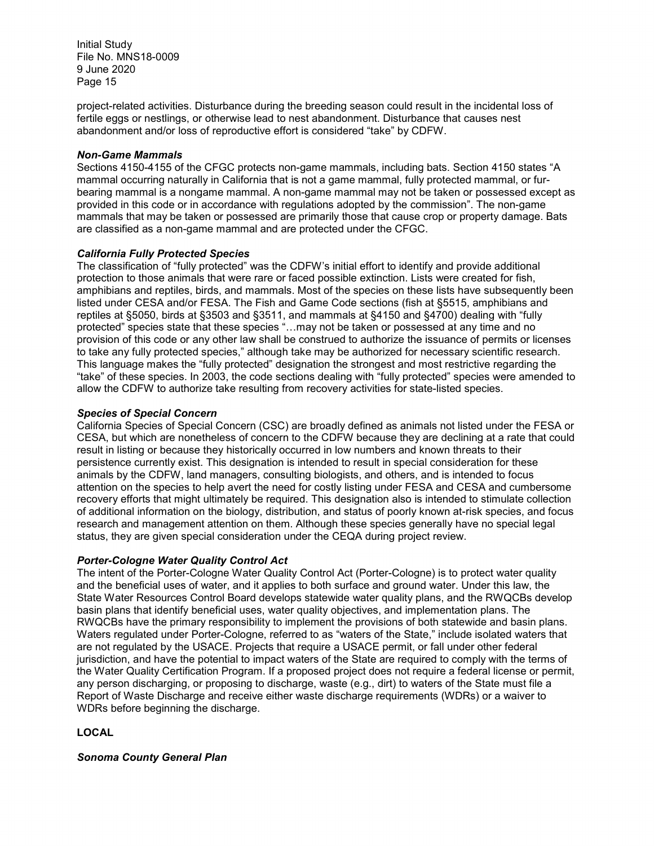project-related activities. Disturbance during the breeding season could result in the incidental loss of fertile eggs or nestlings, or otherwise lead to nest abandonment. Disturbance that causes nest abandonment and/or loss of reproductive effort is considered "take" by CDFW.

#### *Non-Game Mammals*

Sections 4150-4155 of the CFGC protects non-game mammals, including bats. Section 4150 states "A mammal occurring naturally in California that is not a game mammal, fully protected mammal, or furbearing mammal is a nongame mammal. A non-game mammal may not be taken or possessed except as provided in this code or in accordance with regulations adopted by the commission". The non-game mammals that may be taken or possessed are primarily those that cause crop or property damage. Bats are classified as a non-game mammal and are protected under the CFGC.

#### *California Fully Protected Species*

The classification of "fully protected" was the CDFW's initial effort to identify and provide additional protection to those animals that were rare or faced possible extinction. Lists were created for fish, amphibians and reptiles, birds, and mammals. Most of the species on these lists have subsequently been listed under CESA and/or FESA. The Fish and Game Code sections (fish at §5515, amphibians and reptiles at §5050, birds at §3503 and §3511, and mammals at §4150 and §4700) dealing with "fully protected" species state that these species "…may not be taken or possessed at any time and no provision of this code or any other law shall be construed to authorize the issuance of permits or licenses to take any fully protected species," although take may be authorized for necessary scientific research. This language makes the "fully protected" designation the strongest and most restrictive regarding the "take" of these species. In 2003, the code sections dealing with "fully protected" species were amended to allow the CDFW to authorize take resulting from recovery activities for state-listed species.

#### *Species of Special Concern*

California Species of Special Concern (CSC) are broadly defined as animals not listed under the FESA or CESA, but which are nonetheless of concern to the CDFW because they are declining at a rate that could result in listing or because they historically occurred in low numbers and known threats to their persistence currently exist. This designation is intended to result in special consideration for these animals by the CDFW, land managers, consulting biologists, and others, and is intended to focus attention on the species to help avert the need for costly listing under FESA and CESA and cumbersome recovery efforts that might ultimately be required. This designation also is intended to stimulate collection of additional information on the biology, distribution, and status of poorly known at-risk species, and focus research and management attention on them. Although these species generally have no special legal status, they are given special consideration under the CEQA during project review.

#### *Porter-Cologne Water Quality Control Act*

The intent of the Porter-Cologne Water Quality Control Act (Porter-Cologne) is to protect water quality and the beneficial uses of water, and it applies to both surface and ground water. Under this law, the State Water Resources Control Board develops statewide water quality plans, and the RWQCBs develop basin plans that identify beneficial uses, water quality objectives, and implementation plans. The RWQCBs have the primary responsibility to implement the provisions of both statewide and basin plans. Waters regulated under Porter-Cologne, referred to as "waters of the State," include isolated waters that are not regulated by the USACE. Projects that require a USACE permit, or fall under other federal jurisdiction, and have the potential to impact waters of the State are required to comply with the terms of the Water Quality Certification Program. If a proposed project does not require a federal license or permit, any person discharging, or proposing to discharge, waste (e.g., dirt) to waters of the State must file a Report of Waste Discharge and receive either waste discharge requirements (WDRs) or a waiver to WDRs before beginning the discharge.

#### **LOCAL**

*Sonoma County General Plan*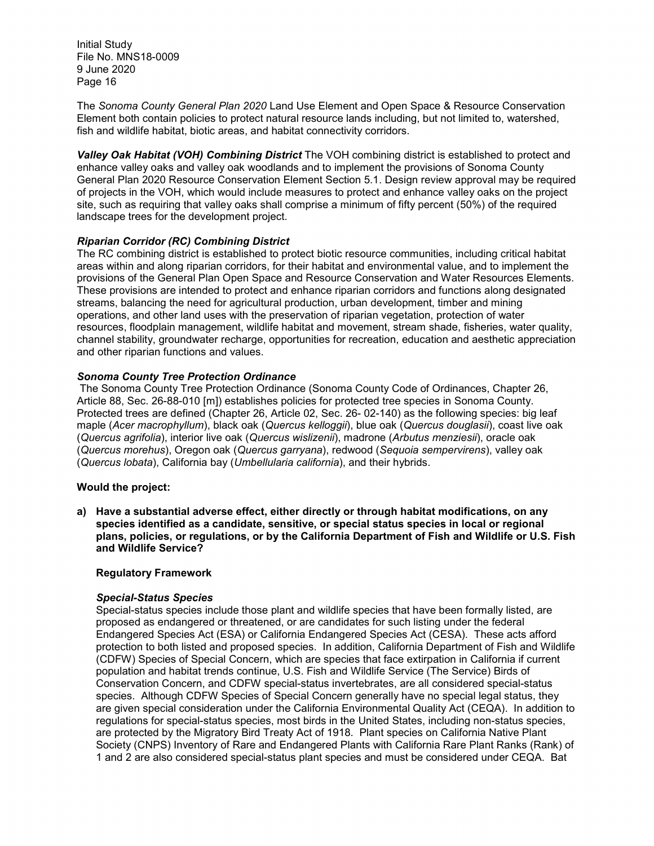The *Sonoma County General Plan 2020* Land Use Element and Open Space & Resource Conservation Element both contain policies to protect natural resource lands including, but not limited to, watershed, fish and wildlife habitat, biotic areas, and habitat connectivity corridors.

*Valley Oak Habitat (VOH) Combining District* The VOH combining district is established to protect and enhance valley oaks and valley oak woodlands and to implement the provisions of Sonoma County General Plan 2020 Resource Conservation Element Section 5.1. Design review approval may be required of projects in the VOH, which would include measures to protect and enhance valley oaks on the project site, such as requiring that valley oaks shall comprise a minimum of fifty percent (50%) of the required landscape trees for the development project.

#### *Riparian Corridor (RC) Combining District*

The RC combining district is established to protect biotic resource communities, including critical habitat areas within and along riparian corridors, for their habitat and environmental value, and to implement the provisions of the General Plan Open Space and Resource Conservation and Water Resources Elements. These provisions are intended to protect and enhance riparian corridors and functions along designated streams, balancing the need for agricultural production, urban development, timber and mining operations, and other land uses with the preservation of riparian vegetation, protection of water resources, floodplain management, wildlife habitat and movement, stream shade, fisheries, water quality, channel stability, groundwater recharge, opportunities for recreation, education and aesthetic appreciation and other riparian functions and values.

#### *Sonoma County Tree Protection Ordinance*

The Sonoma County Tree Protection Ordinance (Sonoma County Code of Ordinances, Chapter 26, Article 88, Sec. 26-88-010 [m]) establishes policies for protected tree species in Sonoma County. Protected trees are defined (Chapter 26, Article 02, Sec. 26- 02-140) as the following species: big leaf maple (*Acer macrophyllum*), black oak (*Quercus kelloggii*), blue oak (*Quercus douglasii*), coast live oak (*Quercus agrifolia*), interior live oak (*Quercus wislizenii*), madrone (*Arbutus menziesii*), oracle oak (*Quercus morehus*), Oregon oak (*Quercus garryana*), redwood (*Sequoia sempervirens*), valley oak (*Quercus lobata*), California bay (*Umbellularia california*), and their hybrids.

#### **Would the project:**

**a) Have a substantial adverse effect, either directly or through habitat modifications, on any species identified as a candidate, sensitive, or special status species in local or regional plans, policies, or regulations, or by the California Department of Fish and Wildlife or U.S. Fish and Wildlife Service?**

#### **Regulatory Framework**

#### *Special-Status Species*

Special-status species include those plant and wildlife species that have been formally listed, are proposed as endangered or threatened, or are candidates for such listing under the federal Endangered Species Act (ESA) or California Endangered Species Act (CESA). These acts afford protection to both listed and proposed species. In addition, California Department of Fish and Wildlife (CDFW) Species of Special Concern, which are species that face extirpation in California if current population and habitat trends continue, U.S. Fish and Wildlife Service (The Service) Birds of Conservation Concern, and CDFW special-status invertebrates, are all considered special-status species. Although CDFW Species of Special Concern generally have no special legal status, they are given special consideration under the California Environmental Quality Act (CEQA). In addition to regulations for special-status species, most birds in the United States, including non-status species, are protected by the Migratory Bird Treaty Act of 1918. Plant species on California Native Plant Society (CNPS) Inventory of Rare and Endangered Plants with California Rare Plant Ranks (Rank) of 1 and 2 are also considered special-status plant species and must be considered under CEQA. Bat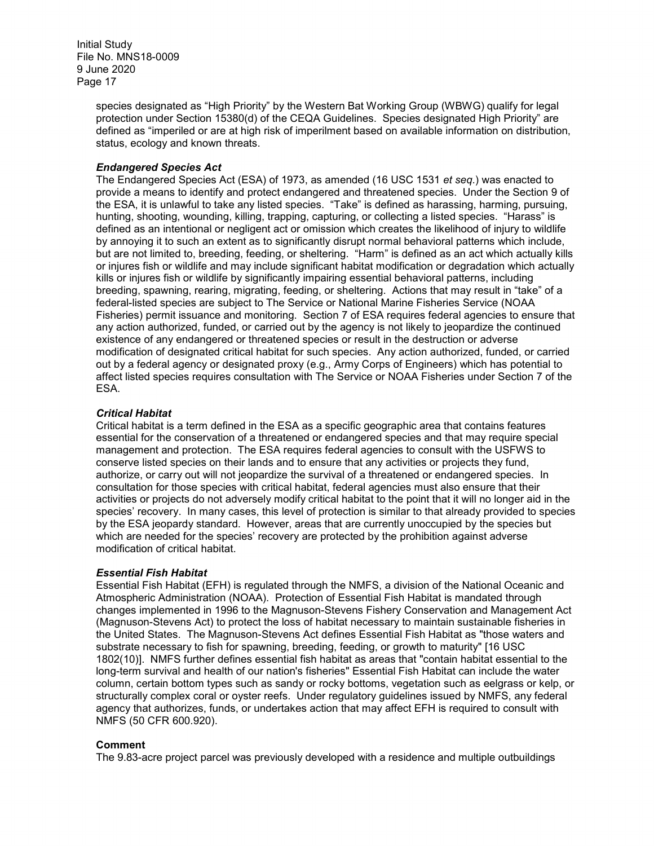> species designated as "High Priority" by the Western Bat Working Group (WBWG) qualify for legal protection under Section 15380(d) of the CEQA Guidelines. Species designated High Priority" are defined as "imperiled or are at high risk of imperilment based on available information on distribution, status, ecology and known threats.

#### *Endangered Species Act*

The Endangered Species Act (ESA) of 1973, as amended (16 USC 1531 *et seq*.) was enacted to provide a means to identify and protect endangered and threatened species. Under the Section 9 of the ESA, it is unlawful to take any listed species. "Take" is defined as harassing, harming, pursuing, hunting, shooting, wounding, killing, trapping, capturing, or collecting a listed species. "Harass" is defined as an intentional or negligent act or omission which creates the likelihood of injury to wildlife by annoying it to such an extent as to significantly disrupt normal behavioral patterns which include, but are not limited to, breeding, feeding, or sheltering. "Harm" is defined as an act which actually kills or injures fish or wildlife and may include significant habitat modification or degradation which actually kills or injures fish or wildlife by significantly impairing essential behavioral patterns, including breeding, spawning, rearing, migrating, feeding, or sheltering. Actions that may result in "take" of a federal-listed species are subject to The Service or National Marine Fisheries Service (NOAA Fisheries) permit issuance and monitoring. Section 7 of ESA requires federal agencies to ensure that any action authorized, funded, or carried out by the agency is not likely to jeopardize the continued existence of any endangered or threatened species or result in the destruction or adverse modification of designated critical habitat for such species. Any action authorized, funded, or carried out by a federal agency or designated proxy (e.g., Army Corps of Engineers) which has potential to affect listed species requires consultation with The Service or NOAA Fisheries under Section 7 of the ESA.

#### *Critical Habitat*

Critical habitat is a term defined in the ESA as a specific geographic area that contains features essential for the conservation of a threatened or endangered species and that may require special management and protection. The ESA requires federal agencies to consult with the USFWS to conserve listed species on their lands and to ensure that any activities or projects they fund, authorize, or carry out will not jeopardize the survival of a threatened or endangered species. In consultation for those species with critical habitat, federal agencies must also ensure that their activities or projects do not adversely modify critical habitat to the point that it will no longer aid in the species' recovery. In many cases, this level of protection is similar to that already provided to species by the ESA jeopardy standard. However, areas that are currently unoccupied by the species but which are needed for the species' recovery are protected by the prohibition against adverse modification of critical habitat.

#### *Essential Fish Habitat*

Essential Fish Habitat (EFH) is regulated through the NMFS, a division of the National Oceanic and Atmospheric Administration (NOAA). Protection of Essential Fish Habitat is mandated through changes implemented in 1996 to the Magnuson-Stevens Fishery Conservation and Management Act (Magnuson-Stevens Act) to protect the loss of habitat necessary to maintain sustainable fisheries in the United States. The Magnuson-Stevens Act defines Essential Fish Habitat as "those waters and substrate necessary to fish for spawning, breeding, feeding, or growth to maturity" [16 USC 1802(10)]. NMFS further defines essential fish habitat as areas that "contain habitat essential to the long-term survival and health of our nation's fisheries" Essential Fish Habitat can include the water column, certain bottom types such as sandy or rocky bottoms, vegetation such as eelgrass or kelp, or structurally complex coral or oyster reefs. Under regulatory guidelines issued by NMFS, any federal agency that authorizes, funds, or undertakes action that may affect EFH is required to consult with NMFS (50 CFR 600.920).

#### **Comment**

The 9.83-acre project parcel was previously developed with a residence and multiple outbuildings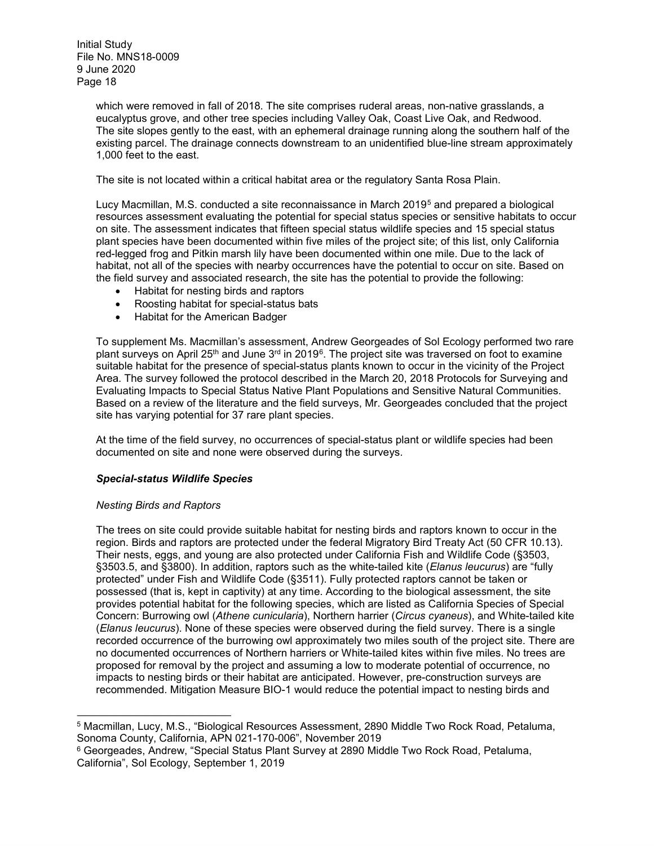> which were removed in fall of 2018. The site comprises ruderal areas, non-native grasslands, a eucalyptus grove, and other tree species including Valley Oak, Coast Live Oak, and Redwood. The site slopes gently to the east, with an ephemeral drainage running along the southern half of the existing parcel. The drainage connects downstream to an unidentified blue-line stream approximately 1,000 feet to the east.

The site is not located within a critical habitat area or the regulatory Santa Rosa Plain.

Lucy Macmillan, M.S. conducted a site reconnaissance in March 2019[5](#page-17-0) and prepared a biological resources assessment evaluating the potential for special status species or sensitive habitats to occur on site. The assessment indicates that fifteen special status wildlife species and 15 special status plant species have been documented within five miles of the project site; of this list, only California red-legged frog and Pitkin marsh lily have been documented within one mile. Due to the lack of habitat, not all of the species with nearby occurrences have the potential to occur on site. Based on the field survey and associated research, the site has the potential to provide the following:

- Habitat for nesting birds and raptors
- Roosting habitat for special-status bats
- Habitat for the American Badger

To supplement Ms. Macmillan's assessment, Andrew Georgeades of Sol Ecology performed two rare plant surveys on April 25<sup>th</sup> and June 3<sup>rd</sup> in 2019<sup>6</sup>. The project site was traversed on foot to examine suitable habitat for the presence of special-status plants known to occur in the vicinity of the Project Area. The survey followed the protocol described in the March 20, 2018 Protocols for Surveying and Evaluating Impacts to Special Status Native Plant Populations and Sensitive Natural Communities. Based on a review of the literature and the field surveys, Mr. Georgeades concluded that the project site has varying potential for 37 rare plant species.

At the time of the field survey, no occurrences of special-status plant or wildlife species had been documented on site and none were observed during the surveys.

#### *Special-status Wildlife Species*

#### *Nesting Birds and Raptors*

 $\overline{a}$ 

The trees on site could provide suitable habitat for nesting birds and raptors known to occur in the region. Birds and raptors are protected under the federal Migratory Bird Treaty Act (50 CFR 10.13). Their nests, eggs, and young are also protected under California Fish and Wildlife Code (§3503, §3503.5, and §3800). In addition, raptors such as the white-tailed kite (*Elanus leucurus*) are "fully protected" under Fish and Wildlife Code (§3511). Fully protected raptors cannot be taken or possessed (that is, kept in captivity) at any time. According to the biological assessment, the site provides potential habitat for the following species, which are listed as California Species of Special Concern: Burrowing owl (*Athene cunicularia*), Northern harrier (*Circus cyaneus*), and White-tailed kite (*Elanus leucurus*). None of these species were observed during the field survey. There is a single recorded occurrence of the burrowing owl approximately two miles south of the project site. There are no documented occurrences of Northern harriers or White-tailed kites within five miles. No trees are proposed for removal by the project and assuming a low to moderate potential of occurrence, no impacts to nesting birds or their habitat are anticipated. However, pre-construction surveys are recommended. Mitigation Measure BIO-1 would reduce the potential impact to nesting birds and

<span id="page-17-0"></span><sup>5</sup> Macmillan, Lucy, M.S., "Biological Resources Assessment, 2890 Middle Two Rock Road, Petaluma, Sonoma County, California, APN 021-170-006", November 2019

<span id="page-17-1"></span><sup>6</sup> Georgeades, Andrew, "Special Status Plant Survey at 2890 Middle Two Rock Road, Petaluma, California", Sol Ecology, September 1, 2019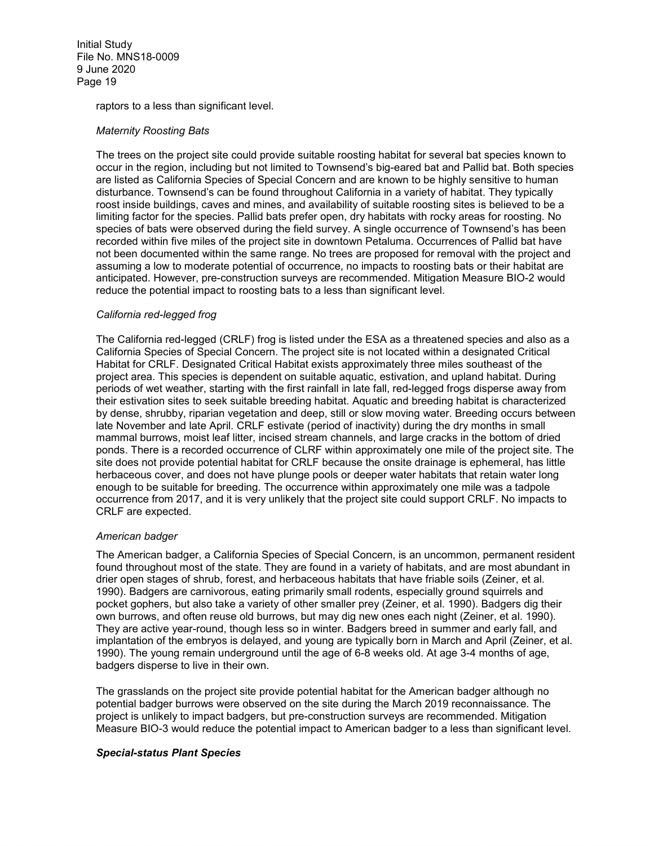raptors to a less than significant level.

#### *Maternity Roosting Bats*

The trees on the project site could provide suitable roosting habitat for several bat species known to occur in the region, including but not limited to Townsend's big-eared bat and Pallid bat. Both species are listed as California Species of Special Concern and are known to be highly sensitive to human disturbance. Townsend's can be found throughout California in a variety of habitat. They typically roost inside buildings, caves and mines, and availability of suitable roosting sites is believed to be a limiting factor for the species. Pallid bats prefer open, dry habitats with rocky areas for roosting. No species of bats were observed during the field survey. A single occurrence of Townsend's has been recorded within five miles of the project site in downtown Petaluma. Occurrences of Pallid bat have not been documented within the same range. No trees are proposed for removal with the project and assuming a low to moderate potential of occurrence, no impacts to roosting bats or their habitat are anticipated. However, pre-construction surveys are recommended. Mitigation Measure BIO-2 would reduce the potential impact to roosting bats to a less than significant level.

#### *California red-legged frog*

The California red-legged (CRLF) frog is listed under the ESA as a threatened species and also as a California Species of Special Concern. The project site is not located within a designated Critical Habitat for CRLF. Designated Critical Habitat exists approximately three miles southeast of the project area. This species is dependent on suitable aquatic, estivation, and upland habitat. During periods of wet weather, starting with the first rainfall in late fall, red-legged frogs disperse away from their estivation sites to seek suitable breeding habitat. Aquatic and breeding habitat is characterized by dense, shrubby, riparian vegetation and deep, still or slow moving water. Breeding occurs between late November and late April. CRLF estivate (period of inactivity) during the dry months in small mammal burrows, moist leaf litter, incised stream channels, and large cracks in the bottom of dried ponds. There is a recorded occurrence of CLRF within approximately one mile of the project site. The site does not provide potential habitat for CRLF because the onsite drainage is ephemeral, has little herbaceous cover, and does not have plunge pools or deeper water habitats that retain water long enough to be suitable for breeding. The occurrence within approximately one mile was a tadpole occurrence from 2017, and it is very unlikely that the project site could support CRLF. No impacts to CRLF are expected.

#### *American badger*

The American badger, a California Species of Special Concern, is an uncommon, permanent resident found throughout most of the state. They are found in a variety of habitats, and are most abundant in drier open stages of shrub, forest, and herbaceous habitats that have friable soils (Zeiner, et al. 1990). Badgers are carnivorous, eating primarily small rodents, especially ground squirrels and pocket gophers, but also take a variety of other smaller prey (Zeiner, et al. 1990). Badgers dig their own burrows, and often reuse old burrows, but may dig new ones each night (Zeiner, et al. 1990). They are active year-round, though less so in winter. Badgers breed in summer and early fall, and implantation of the embryos is delayed, and young are typically born in March and April (Zeiner, et al. 1990). The young remain underground until the age of 6-8 weeks old. At age 3-4 months of age, badgers disperse to live in their own.

The grasslands on the project site provide potential habitat for the American badger although no potential badger burrows were observed on the site during the March 2019 reconnaissance. The project is unlikely to impact badgers, but pre-construction surveys are recommended. Mitigation Measure BIO-3 would reduce the potential impact to American badger to a less than significant level.

#### *Special-status Plant Species*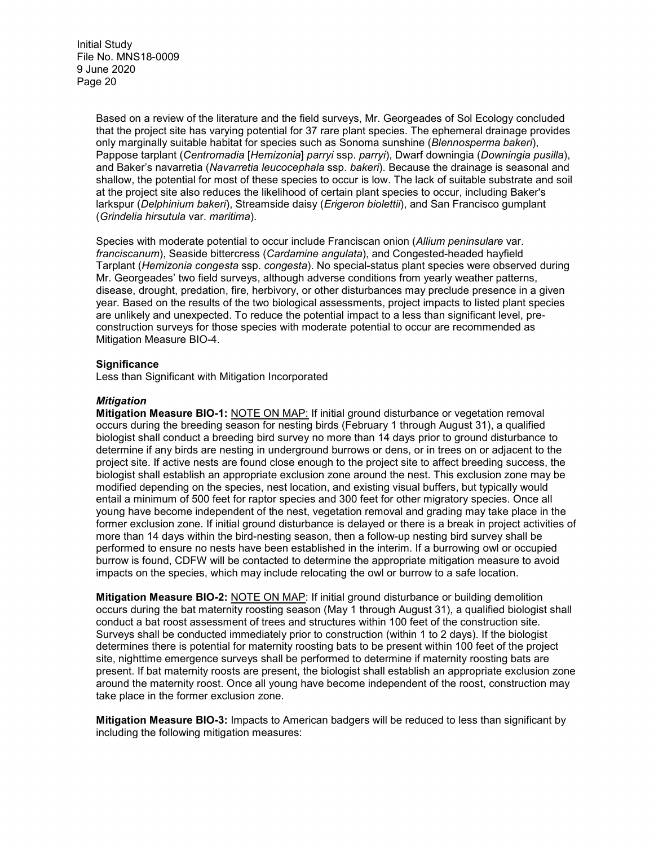> Based on a review of the literature and the field surveys, Mr. Georgeades of Sol Ecology concluded that the project site has varying potential for 37 rare plant species. The ephemeral drainage provides only marginally suitable habitat for species such as Sonoma sunshine (*Blennosperma bakeri*), Pappose tarplant (*Centromadia* [*Hemizonia*] *parryi* ssp. *parryi*), Dwarf downingia (*Downingia pusilla*), and Baker's navarretia (*Navarretia leucocephala* ssp. *bakeri*). Because the drainage is seasonal and shallow, the potential for most of these species to occur is low. The lack of suitable substrate and soil at the project site also reduces the likelihood of certain plant species to occur, including Baker's larkspur (*Delphinium bakeri*), Streamside daisy (*Erigeron biolettii*), and San Francisco gumplant (*Grindelia hirsutula* var. *maritima*).

> Species with moderate potential to occur include Franciscan onion (*Allium peninsulare* var. *franciscanum*), Seaside bittercress (*Cardamine angulata*), and Congested-headed hayfield Tarplant (*Hemizonia congesta* ssp. *congesta*). No special-status plant species were observed during Mr. Georgeades' two field surveys, although adverse conditions from yearly weather patterns, disease, drought, predation, fire, herbivory, or other disturbances may preclude presence in a given year. Based on the results of the two biological assessments, project impacts to listed plant species are unlikely and unexpected. To reduce the potential impact to a less than significant level, preconstruction surveys for those species with moderate potential to occur are recommended as Mitigation Measure BIO-4.

#### **Significance**

Less than Significant with Mitigation Incorporated

#### *Mitigation*

**Mitigation Measure BIO-1:** NOTE ON MAP: If initial ground disturbance or vegetation removal occurs during the breeding season for nesting birds (February 1 through August 31), a qualified biologist shall conduct a breeding bird survey no more than 14 days prior to ground disturbance to determine if any birds are nesting in underground burrows or dens, or in trees on or adjacent to the project site. If active nests are found close enough to the project site to affect breeding success, the biologist shall establish an appropriate exclusion zone around the nest. This exclusion zone may be modified depending on the species, nest location, and existing visual buffers, but typically would entail a minimum of 500 feet for raptor species and 300 feet for other migratory species. Once all young have become independent of the nest, vegetation removal and grading may take place in the former exclusion zone. If initial ground disturbance is delayed or there is a break in project activities of more than 14 days within the bird-nesting season, then a follow-up nesting bird survey shall be performed to ensure no nests have been established in the interim. If a burrowing owl or occupied burrow is found, CDFW will be contacted to determine the appropriate mitigation measure to avoid impacts on the species, which may include relocating the owl or burrow to a safe location.

**Mitigation Measure BIO-2:** NOTE ON MAP: If initial ground disturbance or building demolition occurs during the bat maternity roosting season (May 1 through August 31), a qualified biologist shall conduct a bat roost assessment of trees and structures within 100 feet of the construction site. Surveys shall be conducted immediately prior to construction (within 1 to 2 days). If the biologist determines there is potential for maternity roosting bats to be present within 100 feet of the project site, nighttime emergence surveys shall be performed to determine if maternity roosting bats are present. If bat maternity roosts are present, the biologist shall establish an appropriate exclusion zone around the maternity roost. Once all young have become independent of the roost, construction may take place in the former exclusion zone.

**Mitigation Measure BIO-3:** Impacts to American badgers will be reduced to less than significant by including the following mitigation measures: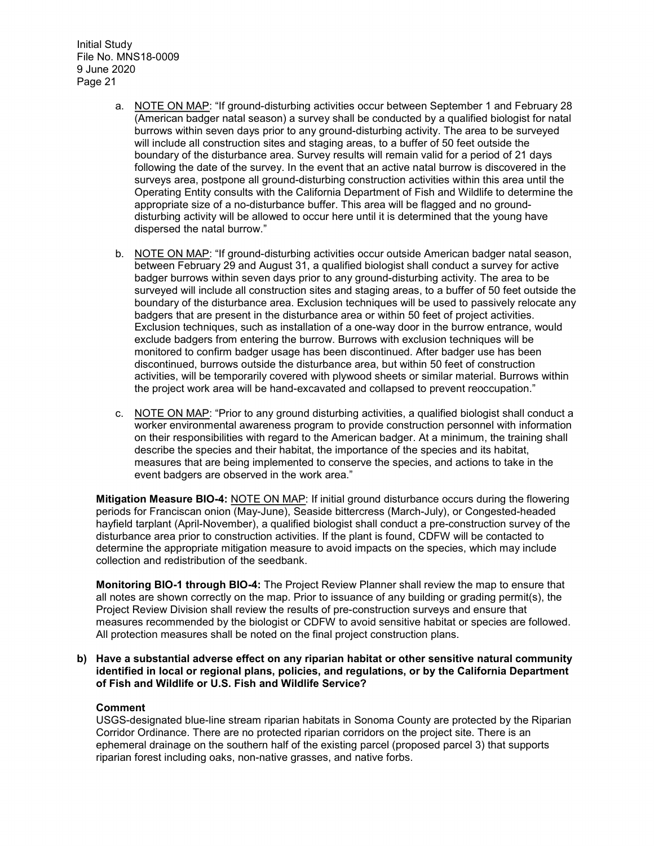- a. NOTE ON MAP: "If ground-disturbing activities occur between September 1 and February 28 (American badger natal season) a survey shall be conducted by a qualified biologist for natal burrows within seven days prior to any ground-disturbing activity. The area to be surveyed will include all construction sites and staging areas, to a buffer of 50 feet outside the boundary of the disturbance area. Survey results will remain valid for a period of 21 days following the date of the survey. In the event that an active natal burrow is discovered in the surveys area, postpone all ground-disturbing construction activities within this area until the Operating Entity consults with the California Department of Fish and Wildlife to determine the appropriate size of a no-disturbance buffer. This area will be flagged and no grounddisturbing activity will be allowed to occur here until it is determined that the young have dispersed the natal burrow."
- b. NOTE ON MAP: "If ground-disturbing activities occur outside American badger natal season, between February 29 and August 31, a qualified biologist shall conduct a survey for active badger burrows within seven days prior to any ground-disturbing activity. The area to be surveyed will include all construction sites and staging areas, to a buffer of 50 feet outside the boundary of the disturbance area. Exclusion techniques will be used to passively relocate any badgers that are present in the disturbance area or within 50 feet of project activities. Exclusion techniques, such as installation of a one-way door in the burrow entrance, would exclude badgers from entering the burrow. Burrows with exclusion techniques will be monitored to confirm badger usage has been discontinued. After badger use has been discontinued, burrows outside the disturbance area, but within 50 feet of construction activities, will be temporarily covered with plywood sheets or similar material. Burrows within the project work area will be hand-excavated and collapsed to prevent reoccupation."
- c. NOTE ON MAP: "Prior to any ground disturbing activities, a qualified biologist shall conduct a worker environmental awareness program to provide construction personnel with information on their responsibilities with regard to the American badger. At a minimum, the training shall describe the species and their habitat, the importance of the species and its habitat, measures that are being implemented to conserve the species, and actions to take in the event badgers are observed in the work area."

**Mitigation Measure BIO-4:** NOTE ON MAP: If initial ground disturbance occurs during the flowering periods for Franciscan onion (May-June), Seaside bittercress (March-July), or Congested-headed hayfield tarplant (April-November), a qualified biologist shall conduct a pre-construction survey of the disturbance area prior to construction activities. If the plant is found, CDFW will be contacted to determine the appropriate mitigation measure to avoid impacts on the species, which may include collection and redistribution of the seedbank.

**Monitoring BIO-1 through BIO-4:** The Project Review Planner shall review the map to ensure that all notes are shown correctly on the map. Prior to issuance of any building or grading permit(s), the Project Review Division shall review the results of pre-construction surveys and ensure that measures recommended by the biologist or CDFW to avoid sensitive habitat or species are followed. All protection measures shall be noted on the final project construction plans.

**b) Have a substantial adverse effect on any riparian habitat or other sensitive natural community identified in local or regional plans, policies, and regulations, or by the California Department of Fish and Wildlife or U.S. Fish and Wildlife Service?**

#### **Comment**

USGS-designated blue-line stream riparian habitats in Sonoma County are protected by the Riparian Corridor Ordinance. There are no protected riparian corridors on the project site. There is an ephemeral drainage on the southern half of the existing parcel (proposed parcel 3) that supports riparian forest including oaks, non-native grasses, and native forbs.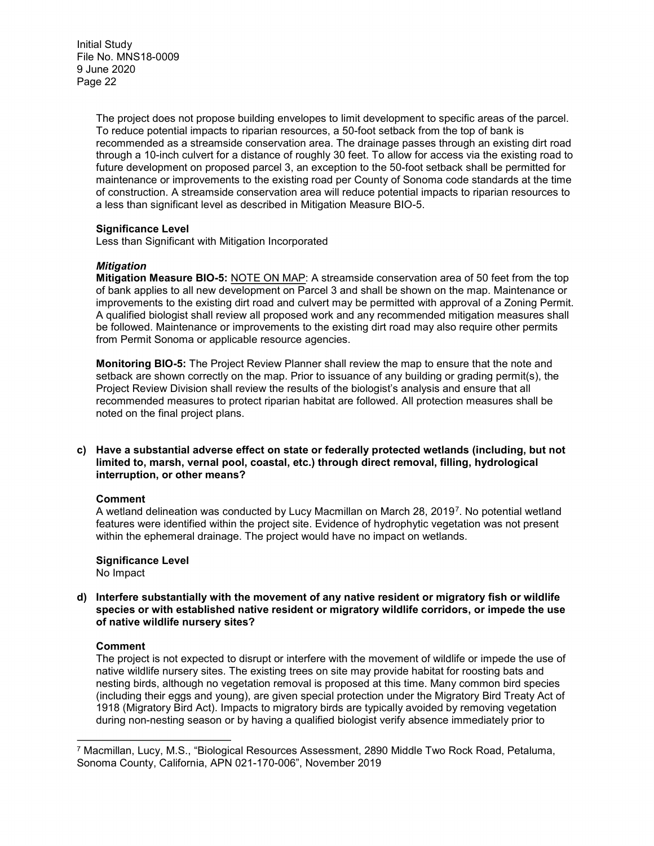> The project does not propose building envelopes to limit development to specific areas of the parcel. To reduce potential impacts to riparian resources, a 50-foot setback from the top of bank is recommended as a streamside conservation area. The drainage passes through an existing dirt road through a 10-inch culvert for a distance of roughly 30 feet. To allow for access via the existing road to future development on proposed parcel 3, an exception to the 50-foot setback shall be permitted for maintenance or improvements to the existing road per County of Sonoma code standards at the time of construction. A streamside conservation area will reduce potential impacts to riparian resources to a less than significant level as described in Mitigation Measure BIO-5.

#### **Significance Level**

Less than Significant with Mitigation Incorporated

#### *Mitigation*

**Mitigation Measure BIO-5:** NOTE ON MAP: A streamside conservation area of 50 feet from the top of bank applies to all new development on Parcel 3 and shall be shown on the map. Maintenance or improvements to the existing dirt road and culvert may be permitted with approval of a Zoning Permit. A qualified biologist shall review all proposed work and any recommended mitigation measures shall be followed. Maintenance or improvements to the existing dirt road may also require other permits from Permit Sonoma or applicable resource agencies.

**Monitoring BIO-5:** The Project Review Planner shall review the map to ensure that the note and setback are shown correctly on the map. Prior to issuance of any building or grading permit(s), the Project Review Division shall review the results of the biologist's analysis and ensure that all recommended measures to protect riparian habitat are followed. All protection measures shall be noted on the final project plans.

#### **c) Have a substantial adverse effect on state or federally protected wetlands (including, but not limited to, marsh, vernal pool, coastal, etc.) through direct removal, filling, hydrological interruption, or other means?**

#### **Comment**

A wetland delineation was conducted by Lucy Macmillan on March 28, 2019<sup>7</sup>. No potential wetland features were identified within the project site. Evidence of hydrophytic vegetation was not present within the ephemeral drainage. The project would have no impact on wetlands.

#### **Significance Level**

No Impact

**d) Interfere substantially with the movement of any native resident or migratory fish or wildlife species or with established native resident or migratory wildlife corridors, or impede the use of native wildlife nursery sites?**

#### **Comment**

 $\overline{a}$ 

The project is not expected to disrupt or interfere with the movement of wildlife or impede the use of native wildlife nursery sites. The existing trees on site may provide habitat for roosting bats and nesting birds, although no vegetation removal is proposed at this time. Many common bird species (including their eggs and young), are given special protection under the Migratory Bird Treaty Act of 1918 (Migratory Bird Act). Impacts to migratory birds are typically avoided by removing vegetation during non-nesting season or by having a qualified biologist verify absence immediately prior to

<span id="page-21-0"></span><sup>7</sup> Macmillan, Lucy, M.S., "Biological Resources Assessment, 2890 Middle Two Rock Road, Petaluma, Sonoma County, California, APN 021-170-006", November 2019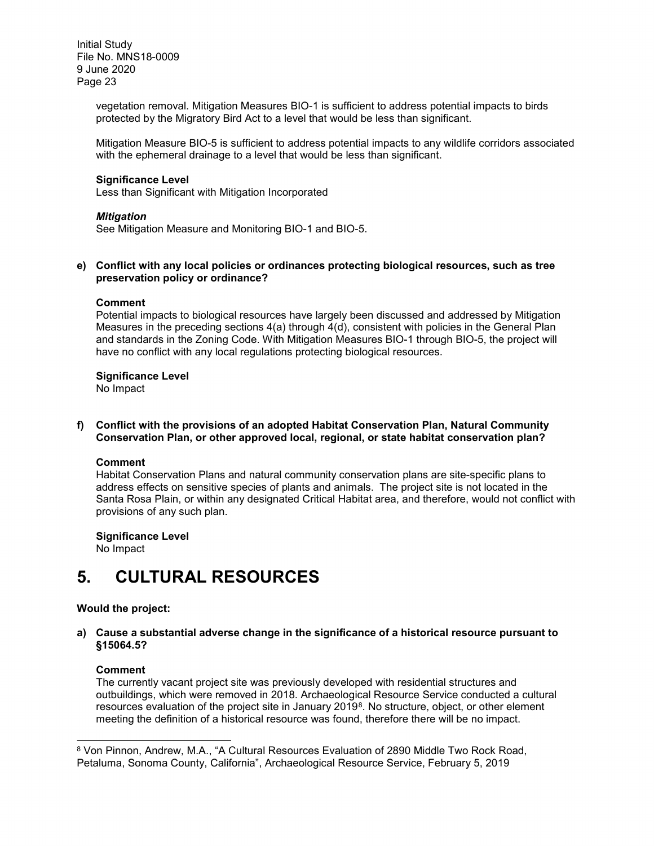> vegetation removal. Mitigation Measures BIO-1 is sufficient to address potential impacts to birds protected by the Migratory Bird Act to a level that would be less than significant.

Mitigation Measure BIO-5 is sufficient to address potential impacts to any wildlife corridors associated with the ephemeral drainage to a level that would be less than significant.

#### **Significance Level**

Less than Significant with Mitigation Incorporated

#### *Mitigation*

See Mitigation Measure and Monitoring BIO-1 and BIO-5.

#### **e) Conflict with any local policies or ordinances protecting biological resources, such as tree preservation policy or ordinance?**

#### **Comment**

Potential impacts to biological resources have largely been discussed and addressed by Mitigation Measures in the preceding sections 4(a) through 4(d), consistent with policies in the General Plan and standards in the Zoning Code. With Mitigation Measures BIO-1 through BIO-5, the project will have no conflict with any local regulations protecting biological resources.

#### **Significance Level**

No Impact

#### **f) Conflict with the provisions of an adopted Habitat Conservation Plan, Natural Community Conservation Plan, or other approved local, regional, or state habitat conservation plan?**

#### **Comment**

Habitat Conservation Plans and natural community conservation plans are site-specific plans to address effects on sensitive species of plants and animals. The project site is not located in the Santa Rosa Plain, or within any designated Critical Habitat area, and therefore, would not conflict with provisions of any such plan.

### **Significance Level**

No Impact

### **5. CULTURAL RESOURCES**

#### **Would the project:**

**a) Cause a substantial adverse change in the significance of a historical resource pursuant to §15064.5?**

#### **Comment**

 $\overline{a}$ 

The currently vacant project site was previously developed with residential structures and outbuildings, which were removed in 2018. Archaeological Resource Service conducted a cultural resources evaluation of the project site in January 2019<sup>[8](#page-22-0)</sup>. No structure, object, or other element meeting the definition of a historical resource was found, therefore there will be no impact.

<span id="page-22-0"></span><sup>8</sup> Von Pinnon, Andrew, M.A., "A Cultural Resources Evaluation of 2890 Middle Two Rock Road, Petaluma, Sonoma County, California", Archaeological Resource Service, February 5, 2019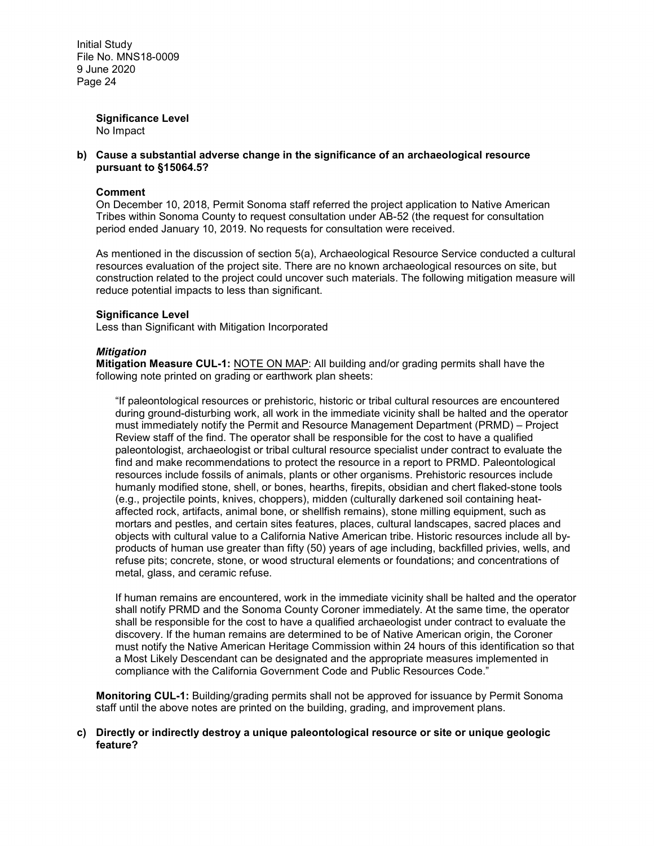> **Significance Level** No Impact

#### **b) Cause a substantial adverse change in the significance of an archaeological resource pursuant to §15064.5?**

#### **Comment**

On December 10, 2018, Permit Sonoma staff referred the project application to Native American Tribes within Sonoma County to request consultation under AB-52 (the request for consultation period ended January 10, 2019. No requests for consultation were received.

As mentioned in the discussion of section 5(a), Archaeological Resource Service conducted a cultural resources evaluation of the project site. There are no known archaeological resources on site, but construction related to the project could uncover such materials. The following mitigation measure will reduce potential impacts to less than significant.

#### **Significance Level**

Less than Significant with Mitigation Incorporated

#### *Mitigation*

**Mitigation Measure CUL-1:** NOTE ON MAP: All building and/or grading permits shall have the following note printed on grading or earthwork plan sheets:

"If paleontological resources or prehistoric, historic or tribal cultural resources are encountered during ground-disturbing work, all work in the immediate vicinity shall be halted and the operator must immediately notify the Permit and Resource Management Department (PRMD) – Project Review staff of the find. The operator shall be responsible for the cost to have a qualified paleontologist, archaeologist or tribal cultural resource specialist under contract to evaluate the find and make recommendations to protect the resource in a report to PRMD. Paleontological resources include fossils of animals, plants or other organisms. Prehistoric resources include humanly modified stone, shell, or bones, hearths, firepits, obsidian and chert flaked-stone tools (e.g., projectile points, knives, choppers), midden (culturally darkened soil containing heataffected rock, artifacts, animal bone, or shellfish remains), stone milling equipment, such as mortars and pestles, and certain sites features, places, cultural landscapes, sacred places and objects with cultural value to a California Native American tribe. Historic resources include all byproducts of human use greater than fifty (50) years of age including, backfilled privies, wells, and refuse pits; concrete, stone, or wood structural elements or foundations; and concentrations of metal, glass, and ceramic refuse.

If human remains are encountered, work in the immediate vicinity shall be halted and the operator shall notify PRMD and the Sonoma County Coroner immediately. At the same time, the operator shall be responsible for the cost to have a qualified archaeologist under contract to evaluate the discovery. If the human remains are determined to be of Native American origin, the Coroner must notify the Native American Heritage Commission within 24 hours of this identification so that a Most Likely Descendant can be designated and the appropriate measures implemented in compliance with the California Government Code and Public Resources Code."

**Monitoring CUL-1:** Building/grading permits shall not be approved for issuance by Permit Sonoma staff until the above notes are printed on the building, grading, and improvement plans.

#### **c) Directly or indirectly destroy a unique paleontological resource or site or unique geologic feature?**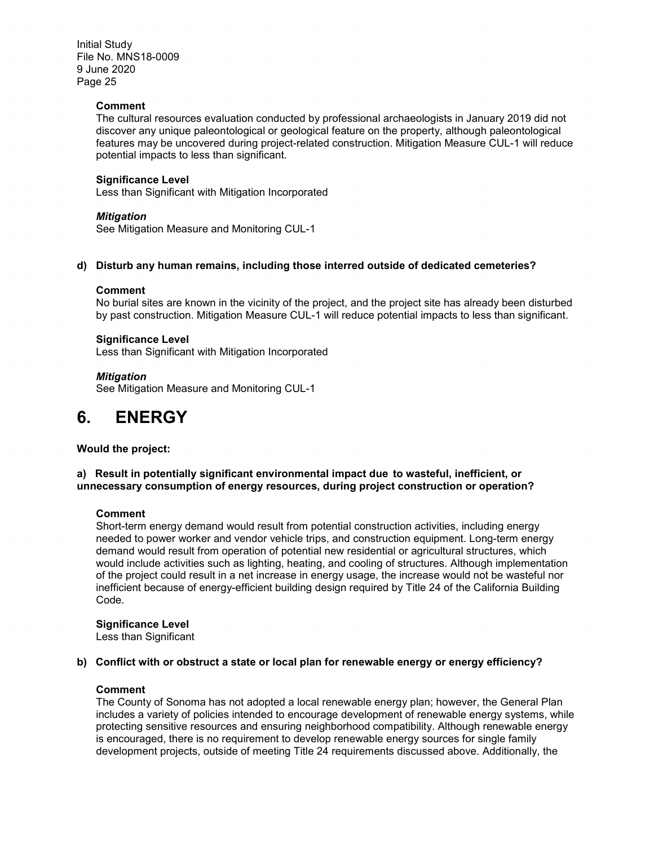#### **Comment**

The cultural resources evaluation conducted by professional archaeologists in January 2019 did not discover any unique paleontological or geological feature on the property, although paleontological features may be uncovered during project-related construction. Mitigation Measure CUL-1 will reduce potential impacts to less than significant.

#### **Significance Level**

Less than Significant with Mitigation Incorporated

#### *Mitigation*

See Mitigation Measure and Monitoring CUL-1

#### **d) Disturb any human remains, including those interred outside of dedicated cemeteries?**

#### **Comment**

No burial sites are known in the vicinity of the project, and the project site has already been disturbed by past construction. Mitigation Measure CUL-1 will reduce potential impacts to less than significant.

#### **Significance Level**

Less than Significant with Mitigation Incorporated

*Mitigation*

See Mitigation Measure and Monitoring CUL-1

### **6. ENERGY**

**Would the project:**

#### **a) Result in potentially significant environmental impact due to wasteful, inefficient, or unnecessary consumption of energy resources, during project construction or operation?**

#### **Comment**

Short-term energy demand would result from potential construction activities, including energy needed to power worker and vendor vehicle trips, and construction equipment. Long-term energy demand would result from operation of potential new residential or agricultural structures, which would include activities such as lighting, heating, and cooling of structures. Although implementation of the project could result in a net increase in energy usage, the increase would not be wasteful nor inefficient because of energy-efficient building design required by Title 24 of the California Building Code.

#### **Significance Level**

Less than Significant

#### **b) Conflict with or obstruct a state or local plan for renewable energy or energy efficiency?**

#### **Comment**

The County of Sonoma has not adopted a local renewable energy plan; however, the General Plan includes a variety of policies intended to encourage development of renewable energy systems, while protecting sensitive resources and ensuring neighborhood compatibility. Although renewable energy is encouraged, there is no requirement to develop renewable energy sources for single family development projects, outside of meeting Title 24 requirements discussed above. Additionally, the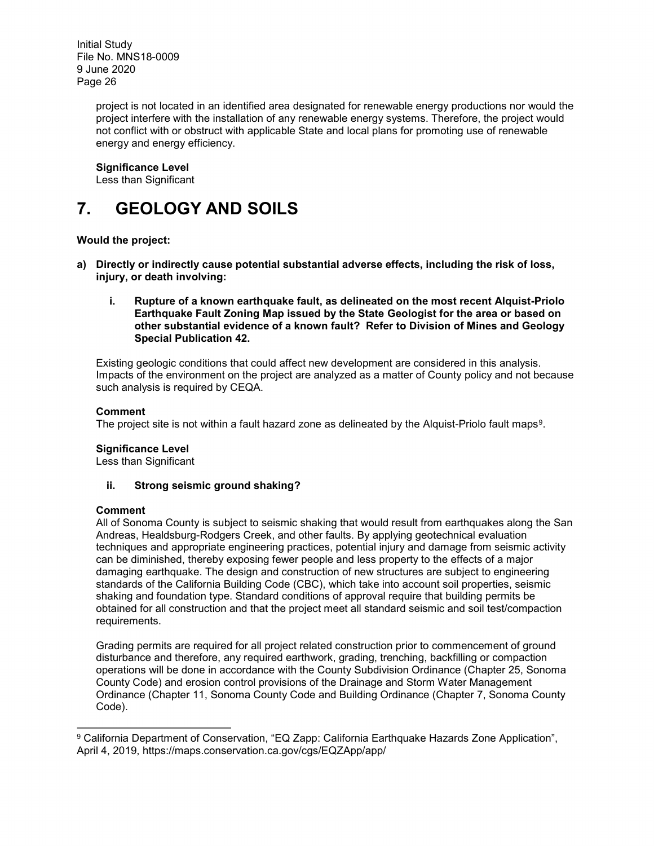> project is not located in an identified area designated for renewable energy productions nor would the project interfere with the installation of any renewable energy systems. Therefore, the project would not conflict with or obstruct with applicable State and local plans for promoting use of renewable energy and energy efficiency.

#### **Significance Level**

Less than Significant

# **7. GEOLOGY AND SOILS**

#### **Would the project:**

- **a) Directly or indirectly cause potential substantial adverse effects, including the risk of loss, injury, or death involving:**
	- **i. Rupture of a known earthquake fault, as delineated on the most recent Alquist-Priolo Earthquake Fault Zoning Map issued by the State Geologist for the area or based on other substantial evidence of a known fault? Refer to Division of Mines and Geology Special Publication 42.**

Existing geologic conditions that could affect new development are considered in this analysis. Impacts of the environment on the project are analyzed as a matter of County policy and not because such analysis is required by CEQA.

#### **Comment**

The project site is not within a fault hazard zone as delineated by the Alquist-Priolo fault maps<sup>[9](#page-25-0)</sup>.

#### **Significance Level**

Less than Significant

#### **ii. Strong seismic ground shaking?**

#### **Comment**

All of Sonoma County is subject to seismic shaking that would result from earthquakes along the San Andreas, Healdsburg-Rodgers Creek, and other faults. By applying geotechnical evaluation techniques and appropriate engineering practices, potential injury and damage from seismic activity can be diminished, thereby exposing fewer people and less property to the effects of a major damaging earthquake. The design and construction of new structures are subject to engineering standards of the California Building Code (CBC), which take into account soil properties, seismic shaking and foundation type. Standard conditions of approval require that building permits be obtained for all construction and that the project meet all standard seismic and soil test/compaction requirements.

Grading permits are required for all project related construction prior to commencement of ground disturbance and therefore, any required earthwork, grading, trenching, backfilling or compaction operations will be done in accordance with the County Subdivision Ordinance (Chapter 25, Sonoma County Code) and erosion control provisions of the Drainage and Storm Water Management Ordinance (Chapter 11, Sonoma County Code and Building Ordinance (Chapter 7, Sonoma County Code).

<span id="page-25-0"></span>l <sup>9</sup> California Department of Conservation, "EQ Zapp: California Earthquake Hazards Zone Application", April 4, 2019, https://maps.conservation.ca.gov/cgs/EQZApp/app/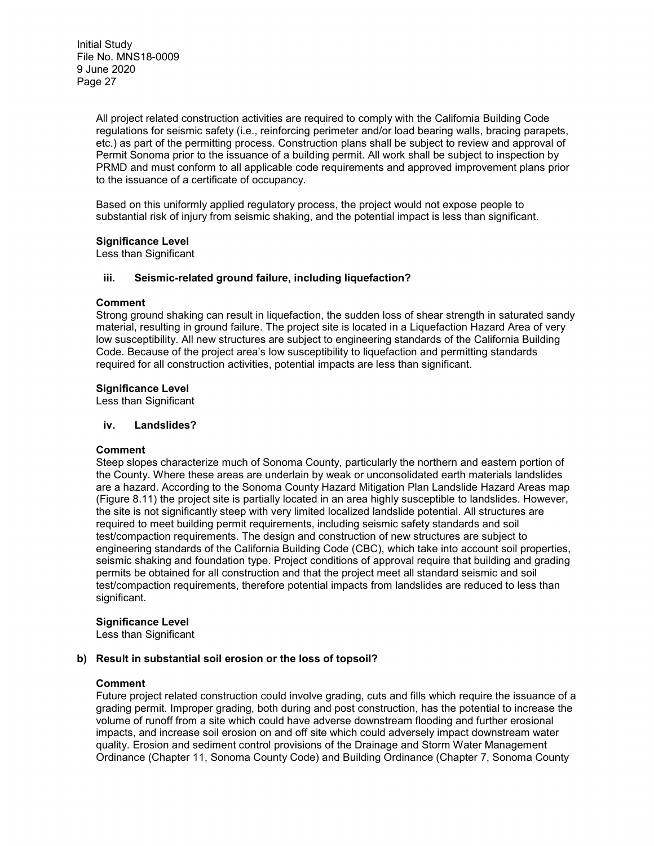> All project related construction activities are required to comply with the California Building Code regulations for seismic safety (i.e., reinforcing perimeter and/or load bearing walls, bracing parapets, etc.) as part of the permitting process. Construction plans shall be subject to review and approval of Permit Sonoma prior to the issuance of a building permit. All work shall be subject to inspection by PRMD and must conform to all applicable code requirements and approved improvement plans prior to the issuance of a certificate of occupancy.

Based on this uniformly applied regulatory process, the project would not expose people to substantial risk of injury from seismic shaking, and the potential impact is less than significant.

#### **Significance Level**

Less than Significant

#### **iii. Seismic-related ground failure, including liquefaction?**

#### **Comment**

Strong ground shaking can result in liquefaction, the sudden loss of shear strength in saturated sandy material, resulting in ground failure. The project site is located in a Liquefaction Hazard Area of very low susceptibility. All new structures are subject to engineering standards of the California Building Code. Because of the project area's low susceptibility to liquefaction and permitting standards required for all construction activities, potential impacts are less than significant.

#### **Significance Level**

Less than Significant

#### **iv. Landslides?**

#### **Comment**

Steep slopes characterize much of Sonoma County, particularly the northern and eastern portion of the County. Where these areas are underlain by weak or unconsolidated earth materials landslides are a hazard. According to the Sonoma County Hazard Mitigation Plan Landslide Hazard Areas map (Figure 8.11) the project site is partially located in an area highly susceptible to landslides. However, the site is not significantly steep with very limited localized landslide potential. All structures are required to meet building permit requirements, including seismic safety standards and soil test/compaction requirements. The design and construction of new structures are subject to engineering standards of the California Building Code (CBC), which take into account soil properties, seismic shaking and foundation type. Project conditions of approval require that building and grading permits be obtained for all construction and that the project meet all standard seismic and soil test/compaction requirements, therefore potential impacts from landslides are reduced to less than significant.

#### **Significance Level**

Less than Significant

#### **b) Result in substantial soil erosion or the loss of topsoil?**

#### **Comment**

Future project related construction could involve grading, cuts and fills which require the issuance of a grading permit. Improper grading, both during and post construction, has the potential to increase the volume of runoff from a site which could have adverse downstream flooding and further erosional impacts, and increase soil erosion on and off site which could adversely impact downstream water quality. Erosion and sediment control provisions of the Drainage and Storm Water Management Ordinance (Chapter 11, Sonoma County Code) and Building Ordinance (Chapter 7, Sonoma County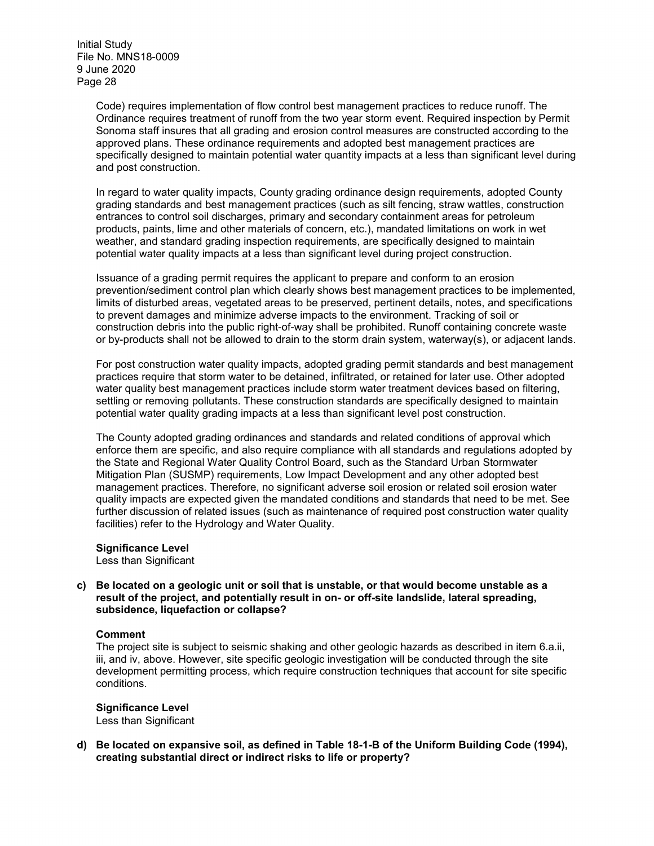> Code) requires implementation of flow control best management practices to reduce runoff. The Ordinance requires treatment of runoff from the two year storm event. Required inspection by Permit Sonoma staff insures that all grading and erosion control measures are constructed according to the approved plans. These ordinance requirements and adopted best management practices are specifically designed to maintain potential water quantity impacts at a less than significant level during and post construction.

In regard to water quality impacts, County grading ordinance design requirements, adopted County grading standards and best management practices (such as silt fencing, straw wattles, construction entrances to control soil discharges, primary and secondary containment areas for petroleum products, paints, lime and other materials of concern, etc.), mandated limitations on work in wet weather, and standard grading inspection requirements, are specifically designed to maintain potential water quality impacts at a less than significant level during project construction.

Issuance of a grading permit requires the applicant to prepare and conform to an erosion prevention/sediment control plan which clearly shows best management practices to be implemented, limits of disturbed areas, vegetated areas to be preserved, pertinent details, notes, and specifications to prevent damages and minimize adverse impacts to the environment. Tracking of soil or construction debris into the public right-of-way shall be prohibited. Runoff containing concrete waste or by-products shall not be allowed to drain to the storm drain system, waterway(s), or adjacent lands.

For post construction water quality impacts, adopted grading permit standards and best management practices require that storm water to be detained, infiltrated, or retained for later use. Other adopted water quality best management practices include storm water treatment devices based on filtering, settling or removing pollutants. These construction standards are specifically designed to maintain potential water quality grading impacts at a less than significant level post construction.

The County adopted grading ordinances and standards and related conditions of approval which enforce them are specific, and also require compliance with all standards and regulations adopted by the State and Regional Water Quality Control Board, such as the Standard Urban Stormwater Mitigation Plan (SUSMP) requirements, Low Impact Development and any other adopted best management practices. Therefore, no significant adverse soil erosion or related soil erosion water quality impacts are expected given the mandated conditions and standards that need to be met. See further discussion of related issues (such as maintenance of required post construction water quality facilities) refer to the Hydrology and Water Quality.

#### **Significance Level**

Less than Significant

#### **c) Be located on a geologic unit or soil that is unstable, or that would become unstable as a result of the project, and potentially result in on- or off-site landslide, lateral spreading, subsidence, liquefaction or collapse?**

#### **Comment**

The project site is subject to seismic shaking and other geologic hazards as described in item 6.a.ii, iii, and iv, above. However, site specific geologic investigation will be conducted through the site development permitting process, which require construction techniques that account for site specific conditions.

#### **Significance Level**

Less than Significant

**d) Be located on expansive soil, as defined in Table 18-1-B of the Uniform Building Code (1994), creating substantial direct or indirect risks to life or property?**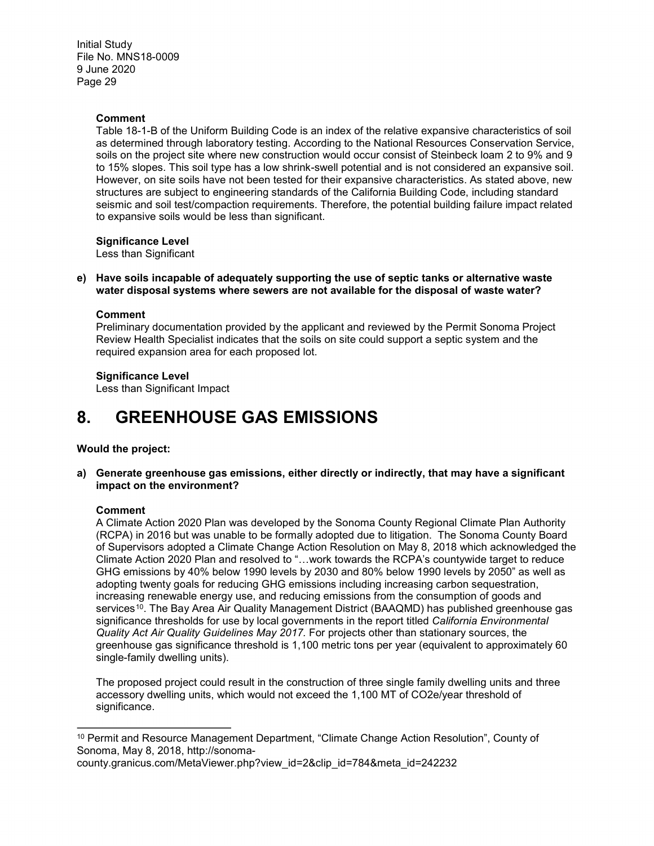#### **Comment**

Table 18-1-B of the Uniform Building Code is an index of the relative expansive characteristics of soil as determined through laboratory testing. According to the National Resources Conservation Service, soils on the project site where new construction would occur consist of Steinbeck loam 2 to 9% and 9 to 15% slopes. This soil type has a low shrink-swell potential and is not considered an expansive soil. However, on site soils have not been tested for their expansive characteristics. As stated above, new structures are subject to engineering standards of the California Building Code, including standard seismic and soil test/compaction requirements. Therefore, the potential building failure impact related to expansive soils would be less than significant.

#### **Significance Level**

Less than Significant

#### **e) Have soils incapable of adequately supporting the use of septic tanks or alternative waste water disposal systems where sewers are not available for the disposal of waste water?**

#### **Comment**

Preliminary documentation provided by the applicant and reviewed by the Permit Sonoma Project Review Health Specialist indicates that the soils on site could support a septic system and the required expansion area for each proposed lot.

#### **Significance Level**

Less than Significant Impact

### **8. GREENHOUSE GAS EMISSIONS**

#### **Would the project:**

**a) Generate greenhouse gas emissions, either directly or indirectly, that may have a significant impact on the environment?**

#### **Comment**

A Climate Action 2020 Plan was developed by the Sonoma County Regional Climate Plan Authority (RCPA) in 2016 but was unable to be formally adopted due to litigation. The Sonoma County Board of Supervisors adopted a Climate Change Action Resolution on May 8, 2018 which acknowledged the Climate Action 2020 Plan and resolved to "…work towards the RCPA's countywide target to reduce GHG emissions by 40% below 1990 levels by 2030 and 80% below 1990 levels by 2050" as well as adopting twenty goals for reducing GHG emissions including increasing carbon sequestration, increasing renewable energy use, and reducing emissions from the consumption of goods and services<sup>[10](#page-28-0)</sup>. The Bay Area Air Quality Management District (BAAQMD) has published greenhouse gas significance thresholds for use by local governments in the report titled *California Environmental Quality Act Air Quality Guidelines May 2017.* For projects other than stationary sources, the greenhouse gas significance threshold is 1,100 metric tons per year (equivalent to approximately 60 single-family dwelling units).

The proposed project could result in the construction of three single family dwelling units and three accessory dwelling units, which would not exceed the 1,100 MT of CO2e/year threshold of significance.

county.granicus.com/MetaViewer.php?view\_id=2&clip\_id=784&meta\_id=242232

<span id="page-28-0"></span>l <sup>10</sup> Permit and Resource Management Department, "Climate Change Action Resolution", County of Sonoma, May 8, 2018, http://sonoma-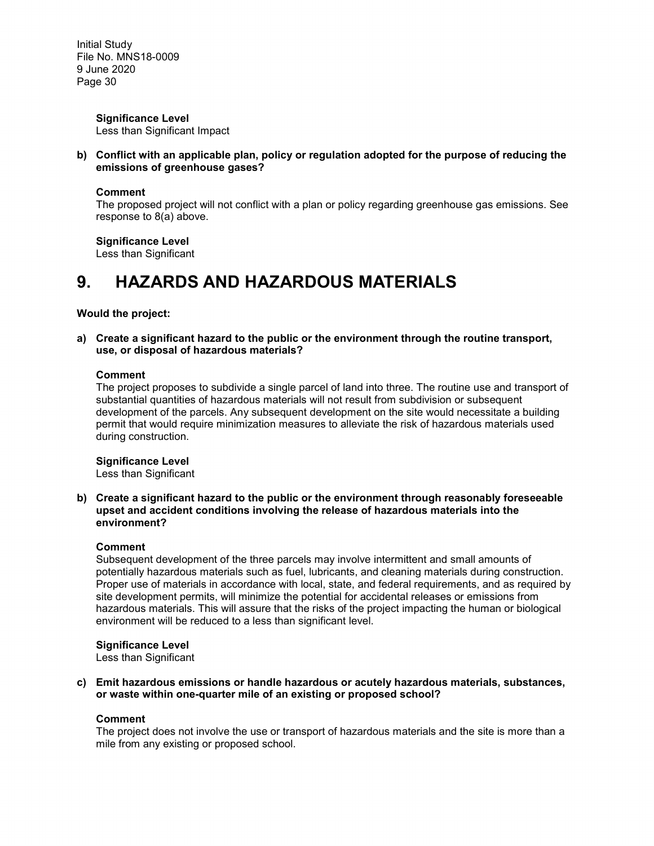> **Significance Level**  Less than Significant Impact

**b) Conflict with an applicable plan, policy or regulation adopted for the purpose of reducing the emissions of greenhouse gases?**

#### **Comment**

The proposed project will not conflict with a plan or policy regarding greenhouse gas emissions. See response to 8(a) above.

**Significance Level** Less than Significant

# **9. HAZARDS AND HAZARDOUS MATERIALS**

#### **Would the project:**

**a) Create a significant hazard to the public or the environment through the routine transport, use, or disposal of hazardous materials?**

#### **Comment**

The project proposes to subdivide a single parcel of land into three. The routine use and transport of substantial quantities of hazardous materials will not result from subdivision or subsequent development of the parcels. Any subsequent development on the site would necessitate a building permit that would require minimization measures to alleviate the risk of hazardous materials used during construction.

#### **Significance Level**

Less than Significant

**b) Create a significant hazard to the public or the environment through reasonably foreseeable upset and accident conditions involving the release of hazardous materials into the environment?**

#### **Comment**

Subsequent development of the three parcels may involve intermittent and small amounts of potentially hazardous materials such as fuel, lubricants, and cleaning materials during construction. Proper use of materials in accordance with local, state, and federal requirements, and as required by site development permits, will minimize the potential for accidental releases or emissions from hazardous materials. This will assure that the risks of the project impacting the human or biological environment will be reduced to a less than significant level.

#### **Significance Level**

Less than Significant

**c) Emit hazardous emissions or handle hazardous or acutely hazardous materials, substances, or waste within one-quarter mile of an existing or proposed school?**

#### **Comment**

The project does not involve the use or transport of hazardous materials and the site is more than a mile from any existing or proposed school.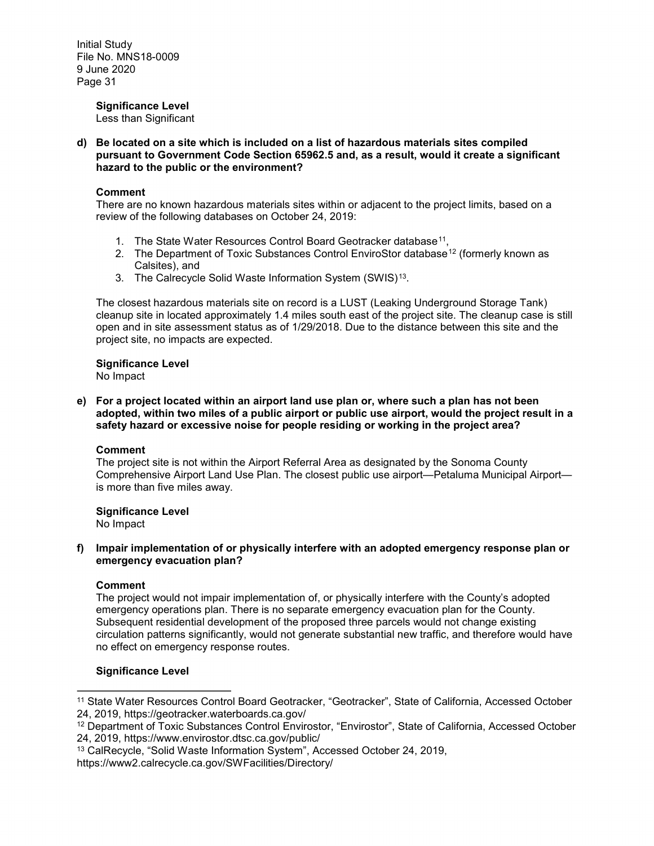#### **Significance Level**

Less than Significant

**d) Be located on a site which is included on a list of hazardous materials sites compiled pursuant to Government Code Section 65962.5 and, as a result, would it create a significant hazard to the public or the environment?**

#### **Comment**

There are no known hazardous materials sites within or adjacent to the project limits, based on a review of the following databases on October 24, 2019:

- 1. The State Water Resources Control Board Geotracker database<sup>11</sup>,
- 2. The Department of Toxic Substances Control EnviroStor database<sup>[12](#page-30-1)</sup> (formerly known as Calsites), and
- 3. The Calrecycle Solid Waste Information System (SWIS)<sup>13</sup>.

The closest hazardous materials site on record is a LUST (Leaking Underground Storage Tank) cleanup site in located approximately 1.4 miles south east of the project site. The cleanup case is still open and in site assessment status as of 1/29/2018. Due to the distance between this site and the project site, no impacts are expected.

### **Significance Level**

No Impact

**e) For a project located within an airport land use plan or, where such a plan has not been adopted, within two miles of a public airport or public use airport, would the project result in a safety hazard or excessive noise for people residing or working in the project area?**

#### **Comment**

The project site is not within the Airport Referral Area as designated by the Sonoma County Comprehensive Airport Land Use Plan. The closest public use airport—Petaluma Municipal Airport is more than five miles away.

### **Significance Level**

No Impact

#### **f) Impair implementation of or physically interfere with an adopted emergency response plan or emergency evacuation plan?**

#### **Comment**

l

The project would not impair implementation of, or physically interfere with the County's adopted emergency operations plan. There is no separate emergency evacuation plan for the County. Subsequent residential development of the proposed three parcels would not change existing circulation patterns significantly, would not generate substantial new traffic, and therefore would have no effect on emergency response routes.

#### **Significance Level**

<span id="page-30-0"></span><sup>11</sup> State Water Resources Control Board Geotracker, "Geotracker", State of California, Accessed October 24, 2019, https://geotracker.waterboards.ca.gov/

<span id="page-30-1"></span><sup>12</sup> Department of Toxic Substances Control Envirostor, "Envirostor", State of California, Accessed October 24, 2019, https://www.envirostor.dtsc.ca.gov/public/

<span id="page-30-2"></span><sup>13</sup> CalRecycle, "Solid Waste Information System", Accessed October 24, 2019,

https://www2.calrecycle.ca.gov/SWFacilities/Directory/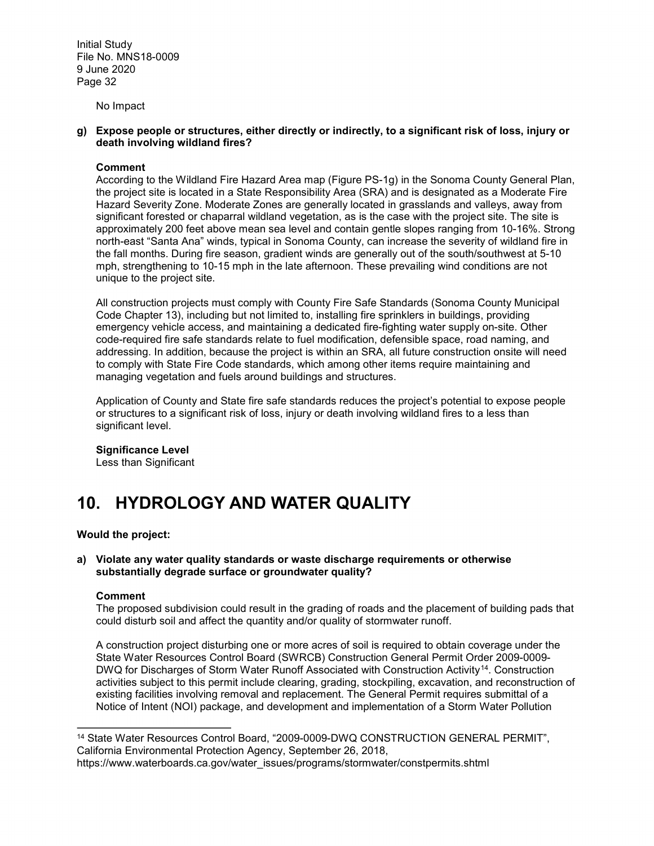No Impact

#### **g) Expose people or structures, either directly or indirectly, to a significant risk of loss, injury or death involving wildland fires?**

#### **Comment**

According to the Wildland Fire Hazard Area map (Figure PS-1g) in the Sonoma County General Plan, the project site is located in a State Responsibility Area (SRA) and is designated as a Moderate Fire Hazard Severity Zone. Moderate Zones are generally located in grasslands and valleys, away from significant forested or chaparral wildland vegetation, as is the case with the project site. The site is approximately 200 feet above mean sea level and contain gentle slopes ranging from 10-16%. Strong north-east "Santa Ana" winds, typical in Sonoma County, can increase the severity of wildland fire in the fall months. During fire season, gradient winds are generally out of the south/southwest at 5-10 mph, strengthening to 10-15 mph in the late afternoon. These prevailing wind conditions are not unique to the project site.

All construction projects must comply with County Fire Safe Standards (Sonoma County Municipal Code Chapter 13), including but not limited to, installing fire sprinklers in buildings, providing emergency vehicle access, and maintaining a dedicated fire-fighting water supply on-site. Other code-required fire safe standards relate to fuel modification, defensible space, road naming, and addressing. In addition, because the project is within an SRA, all future construction onsite will need to comply with State Fire Code standards, which among other items require maintaining and managing vegetation and fuels around buildings and structures.

Application of County and State fire safe standards reduces the project's potential to expose people or structures to a significant risk of loss, injury or death involving wildland fires to a less than significant level.

#### **Significance Level**

Less than Significant

## **10. HYDROLOGY AND WATER QUALITY**

#### **Would the project:**

#### **a) Violate any water quality standards or waste discharge requirements or otherwise substantially degrade surface or groundwater quality?**

#### **Comment**

The proposed subdivision could result in the grading of roads and the placement of building pads that could disturb soil and affect the quantity and/or quality of stormwater runoff.

A construction project disturbing one or more acres of soil is required to obtain coverage under the State Water Resources Control Board (SWRCB) Construction General Permit Order 2009-0009- DWQ for Discharges of Storm Water Runoff Associated with Construction Activity<sup>[14](#page-31-0)</sup>. Construction activities subject to this permit include clearing, grading, stockpiling, excavation, and reconstruction of existing facilities involving removal and replacement. The General Permit requires submittal of a Notice of Intent (NOI) package, and development and implementation of a Storm Water Pollution

<span id="page-31-0"></span>l <sup>14</sup> State Water Resources Control Board, "2009-0009-DWQ CONSTRUCTION GENERAL PERMIT", California Environmental Protection Agency, September 26, 2018,

https://www.waterboards.ca.gov/water\_issues/programs/stormwater/constpermits.shtml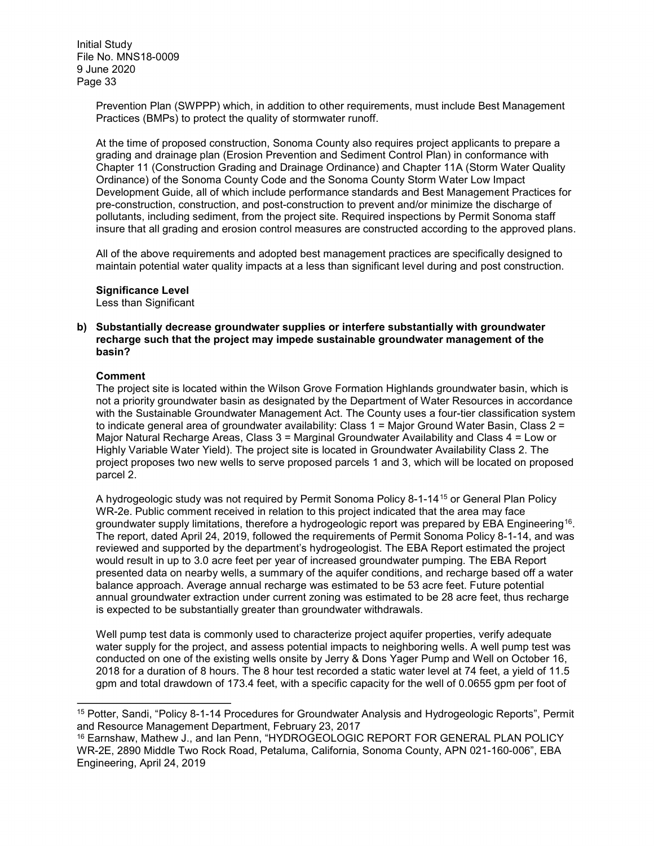> Prevention Plan (SWPPP) which, in addition to other requirements, must include Best Management Practices (BMPs) to protect the quality of stormwater runoff.

At the time of proposed construction, Sonoma County also requires project applicants to prepare a grading and drainage plan (Erosion Prevention and Sediment Control Plan) in conformance with Chapter 11 (Construction Grading and Drainage Ordinance) and Chapter 11A (Storm Water Quality Ordinance) of the Sonoma County Code and the Sonoma County Storm Water Low Impact Development Guide, all of which include performance standards and Best Management Practices for pre-construction, construction, and post-construction to prevent and/or minimize the discharge of pollutants, including sediment, from the project site. Required inspections by Permit Sonoma staff insure that all grading and erosion control measures are constructed according to the approved plans.

All of the above requirements and adopted best management practices are specifically designed to maintain potential water quality impacts at a less than significant level during and post construction.

#### **Significance Level**

Less than Significant

#### **b) Substantially decrease groundwater supplies or interfere substantially with groundwater recharge such that the project may impede sustainable groundwater management of the basin?**

#### **Comment**

 $\overline{a}$ 

The project site is located within the Wilson Grove Formation Highlands groundwater basin, which is not a priority groundwater basin as designated by the Department of Water Resources in accordance with the Sustainable Groundwater Management Act. The County uses a four-tier classification system to indicate general area of groundwater availability: Class 1 = Major Ground Water Basin, Class 2 = Major Natural Recharge Areas, Class 3 = Marginal Groundwater Availability and Class 4 = Low or Highly Variable Water Yield). The project site is located in Groundwater Availability Class 2. The project proposes two new wells to serve proposed parcels 1 and 3, which will be located on proposed parcel 2.

A hydrogeologic study was not required by Permit Sonoma Policy 8-1-14[15](#page-32-0) or General Plan Policy WR-2e. Public comment received in relation to this project indicated that the area may face groundwater supply limitations, therefore a hydrogeologic report was prepared by EBA Engineering<sup>16</sup>. The report, dated April 24, 2019, followed the requirements of Permit Sonoma Policy 8-1-14, and was reviewed and supported by the department's hydrogeologist. The EBA Report estimated the project would result in up to 3.0 acre feet per year of increased groundwater pumping. The EBA Report presented data on nearby wells, a summary of the aquifer conditions, and recharge based off a water balance approach. Average annual recharge was estimated to be 53 acre feet. Future potential annual groundwater extraction under current zoning was estimated to be 28 acre feet, thus recharge is expected to be substantially greater than groundwater withdrawals.

Well pump test data is commonly used to characterize project aquifer properties, verify adequate water supply for the project, and assess potential impacts to neighboring wells. A well pump test was conducted on one of the existing wells onsite by Jerry & Dons Yager Pump and Well on October 16, 2018 for a duration of 8 hours. The 8 hour test recorded a static water level at 74 feet, a yield of 11.5 gpm and total drawdown of 173.4 feet, with a specific capacity for the well of 0.0655 gpm per foot of

<span id="page-32-0"></span><sup>15</sup> Potter, Sandi, "Policy 8-1-14 Procedures for Groundwater Analysis and Hydrogeologic Reports", Permit and Resource Management Department, February 23, 2017

<span id="page-32-1"></span><sup>16</sup> Earnshaw, Mathew J., and Ian Penn, "HYDROGEOLOGIC REPORT FOR GENERAL PLAN POLICY WR-2E, 2890 Middle Two Rock Road, Petaluma, California, Sonoma County, APN 021-160-006", EBA Engineering, April 24, 2019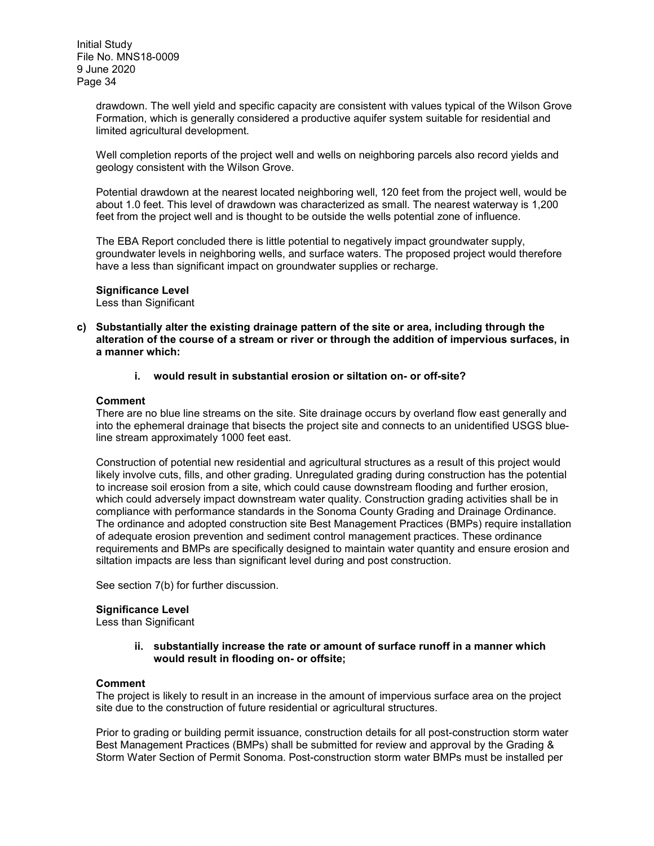drawdown. The well yield and specific capacity are consistent with values typical of the Wilson Grove Formation, which is generally considered a productive aquifer system suitable for residential and limited agricultural development.

Well completion reports of the project well and wells on neighboring parcels also record vields and geology consistent with the Wilson Grove.

Potential drawdown at the nearest located neighboring well, 120 feet from the project well, would be about 1.0 feet. This level of drawdown was characterized as small. The nearest waterway is 1,200 feet from the project well and is thought to be outside the wells potential zone of influence.

The EBA Report concluded there is little potential to negatively impact groundwater supply, groundwater levels in neighboring wells, and surface waters. The proposed project would therefore have a less than significant impact on groundwater supplies or recharge.

#### **Significance Level**

Less than Significant

- **c) Substantially alter the existing drainage pattern of the site or area, including through the alteration of the course of a stream or river or through the addition of impervious surfaces, in a manner which:**
	- **i. would result in substantial erosion or siltation on- or off-site?**

#### **Comment**

There are no blue line streams on the site. Site drainage occurs by overland flow east generally and into the ephemeral drainage that bisects the project site and connects to an unidentified USGS blueline stream approximately 1000 feet east.

Construction of potential new residential and agricultural structures as a result of this project would likely involve cuts, fills, and other grading. Unregulated grading during construction has the potential to increase soil erosion from a site, which could cause downstream flooding and further erosion, which could adversely impact downstream water quality. Construction grading activities shall be in compliance with performance standards in the Sonoma County Grading and Drainage Ordinance. The ordinance and adopted construction site Best Management Practices (BMPs) require installation of adequate erosion prevention and sediment control management practices. These ordinance requirements and BMPs are specifically designed to maintain water quantity and ensure erosion and siltation impacts are less than significant level during and post construction.

See section 7(b) for further discussion.

#### **Significance Level**

Less than Significant

#### **ii. substantially increase the rate or amount of surface runoff in a manner which would result in flooding on- or offsite;**

#### **Comment**

The project is likely to result in an increase in the amount of impervious surface area on the project site due to the construction of future residential or agricultural structures.

Prior to grading or building permit issuance, construction details for all post-construction storm water Best Management Practices (BMPs) shall be submitted for review and approval by the Grading & Storm Water Section of Permit Sonoma. Post-construction storm water BMPs must be installed per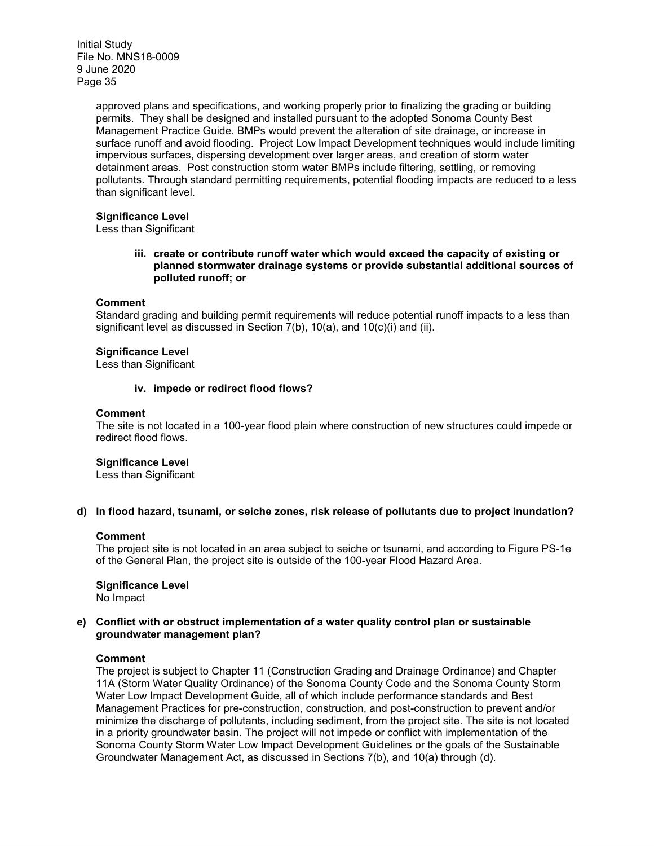> approved plans and specifications, and working properly prior to finalizing the grading or building permits. They shall be designed and installed pursuant to the adopted Sonoma County Best Management Practice Guide. BMPs would prevent the alteration of site drainage, or increase in surface runoff and avoid flooding. Project Low Impact Development techniques would include limiting impervious surfaces, dispersing development over larger areas, and creation of storm water detainment areas. Post construction storm water BMPs include filtering, settling, or removing pollutants. Through standard permitting requirements, potential flooding impacts are reduced to a less than significant level.

#### **Significance Level**

Less than Significant

**iii. create or contribute runoff water which would exceed the capacity of existing or planned stormwater drainage systems or provide substantial additional sources of polluted runoff; or**

#### **Comment**

Standard grading and building permit requirements will reduce potential runoff impacts to a less than significant level as discussed in Section 7(b), 10(a), and 10(c)(i) and (ii).

#### **Significance Level**

Less than Significant

#### **iv. impede or redirect flood flows?**

#### **Comment**

The site is not located in a 100-year flood plain where construction of new structures could impede or redirect flood flows.

#### **Significance Level**

Less than Significant

#### **d) In flood hazard, tsunami, or seiche zones, risk release of pollutants due to project inundation?**

#### **Comment**

The project site is not located in an area subject to seiche or tsunami, and according to Figure PS-1e of the General Plan, the project site is outside of the 100-year Flood Hazard Area.

**Significance Level**  No Impact

#### **e) Conflict with or obstruct implementation of a water quality control plan or sustainable groundwater management plan?**

#### **Comment**

The project is subject to Chapter 11 (Construction Grading and Drainage Ordinance) and Chapter 11A (Storm Water Quality Ordinance) of the Sonoma County Code and the Sonoma County Storm Water Low Impact Development Guide, all of which include performance standards and Best Management Practices for pre-construction, construction, and post-construction to prevent and/or minimize the discharge of pollutants, including sediment, from the project site. The site is not located in a priority groundwater basin. The project will not impede or conflict with implementation of the Sonoma County Storm Water Low Impact Development Guidelines or the goals of the Sustainable Groundwater Management Act, as discussed in Sections 7(b), and 10(a) through (d).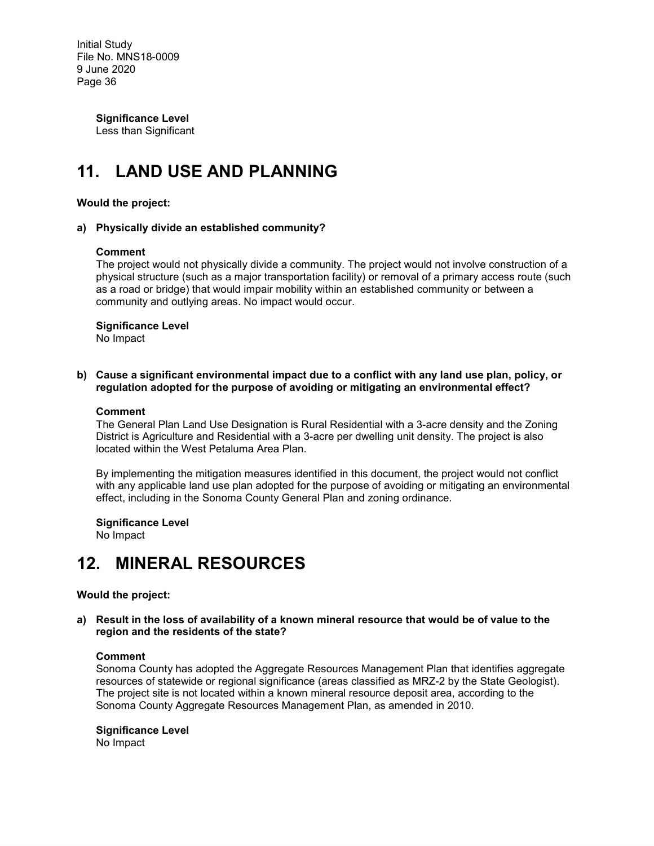> **Significance Level**  Less than Significant

# **11. LAND USE AND PLANNING**

#### **Would the project:**

#### **a) Physically divide an established community?**

#### **Comment**

The project would not physically divide a community. The project would not involve construction of a physical structure (such as a major transportation facility) or removal of a primary access route (such as a road or bridge) that would impair mobility within an established community or between a community and outlying areas. No impact would occur.

#### **Significance Level**

No Impact

**b) Cause a significant environmental impact due to a conflict with any land use plan, policy, or regulation adopted for the purpose of avoiding or mitigating an environmental effect?**

#### **Comment**

The General Plan Land Use Designation is Rural Residential with a 3-acre density and the Zoning District is Agriculture and Residential with a 3-acre per dwelling unit density. The project is also located within the West Petaluma Area Plan.

By implementing the mitigation measures identified in this document, the project would not conflict with any applicable land use plan adopted for the purpose of avoiding or mitigating an environmental effect, including in the Sonoma County General Plan and zoning ordinance.

**Significance Level**

No Impact

### **12. MINERAL RESOURCES**

#### **Would the project:**

**a) Result in the loss of availability of a known mineral resource that would be of value to the region and the residents of the state?**

#### **Comment**

Sonoma County has adopted the Aggregate Resources Management Plan that identifies aggregate resources of statewide or regional significance (areas classified as MRZ-2 by the State Geologist). The project site is not located within a known mineral resource deposit area, according to the Sonoma County Aggregate Resources Management Plan, as amended in 2010.

#### **Significance Level**

No Impact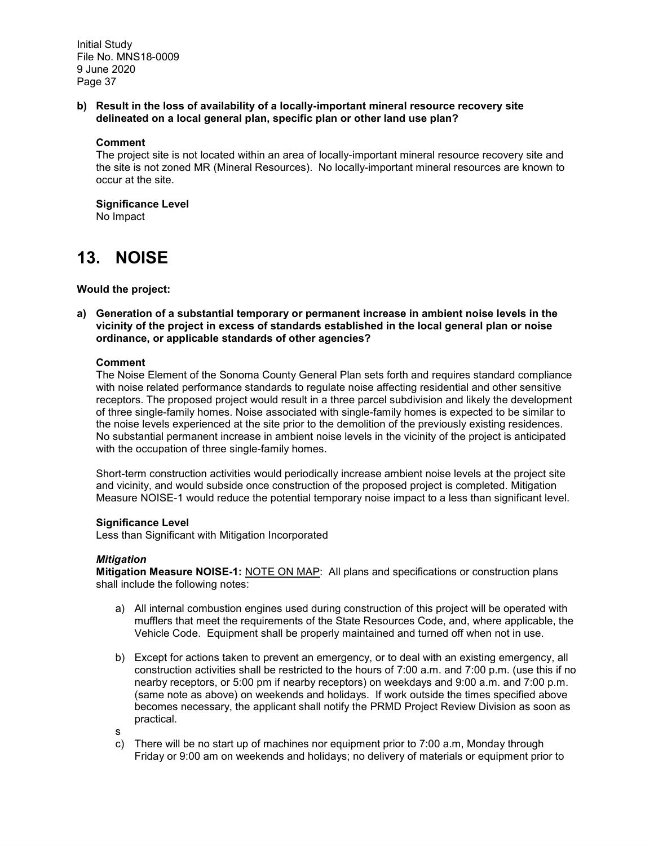**b) Result in the loss of availability of a locally-important mineral resource recovery site delineated on a local general plan, specific plan or other land use plan?**

#### **Comment**

The project site is not located within an area of locally-important mineral resource recovery site and the site is not zoned MR (Mineral Resources). No locally-important mineral resources are known to occur at the site.

#### **Significance Level**

No Impact

### **13. NOISE**

**Would the project:**

**a) Generation of a substantial temporary or permanent increase in ambient noise levels in the vicinity of the project in excess of standards established in the local general plan or noise ordinance, or applicable standards of other agencies?**

#### **Comment**

The Noise Element of the Sonoma County General Plan sets forth and requires standard compliance with noise related performance standards to regulate noise affecting residential and other sensitive receptors. The proposed project would result in a three parcel subdivision and likely the development of three single-family homes. Noise associated with single-family homes is expected to be similar to the noise levels experienced at the site prior to the demolition of the previously existing residences. No substantial permanent increase in ambient noise levels in the vicinity of the project is anticipated with the occupation of three single-family homes.

Short-term construction activities would periodically increase ambient noise levels at the project site and vicinity, and would subside once construction of the proposed project is completed. Mitigation Measure NOISE-1 would reduce the potential temporary noise impact to a less than significant level.

#### **Significance Level**

Less than Significant with Mitigation Incorporated

#### *Mitigation*

**Mitigation Measure NOISE-1:** NOTE ON MAP: All plans and specifications or construction plans shall include the following notes:

- a) All internal combustion engines used during construction of this project will be operated with mufflers that meet the requirements of the State Resources Code, and, where applicable, the Vehicle Code. Equipment shall be properly maintained and turned off when not in use.
- b) Except for actions taken to prevent an emergency, or to deal with an existing emergency, all construction activities shall be restricted to the hours of 7:00 a.m. and 7:00 p.m. (use this if no nearby receptors, or 5:00 pm if nearby receptors) on weekdays and 9:00 a.m. and 7:00 p.m. (same note as above) on weekends and holidays. If work outside the times specified above becomes necessary, the applicant shall notify the PRMD Project Review Division as soon as practical.
- s
- c) There will be no start up of machines nor equipment prior to 7:00 a.m, Monday through Friday or 9:00 am on weekends and holidays; no delivery of materials or equipment prior to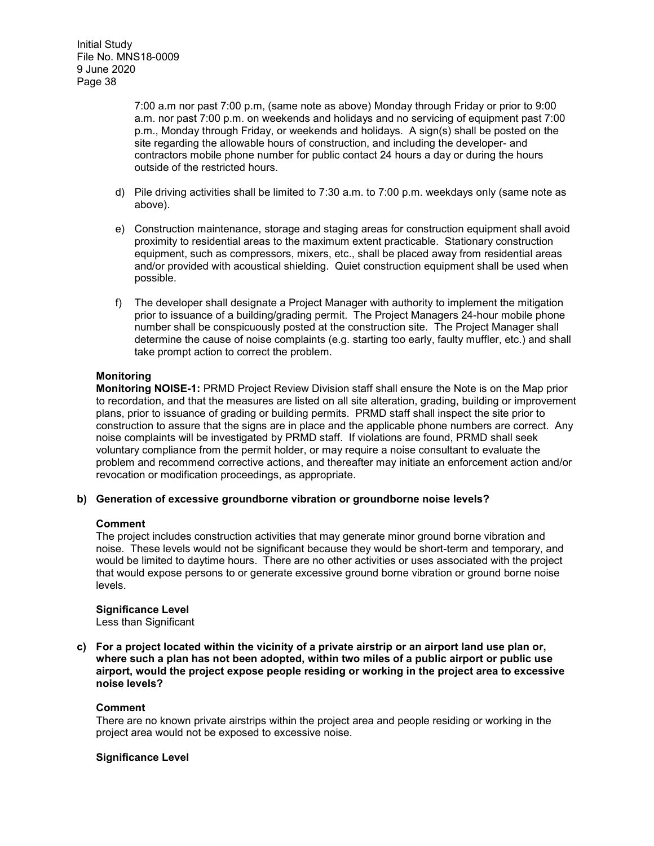7:00 a.m nor past 7:00 p.m, (same note as above) Monday through Friday or prior to 9:00 a.m. nor past 7:00 p.m. on weekends and holidays and no servicing of equipment past 7:00 p.m., Monday through Friday, or weekends and holidays. A sign(s) shall be posted on the site regarding the allowable hours of construction, and including the developer- and contractors mobile phone number for public contact 24 hours a day or during the hours outside of the restricted hours.

- d) Pile driving activities shall be limited to 7:30 a.m. to 7:00 p.m. weekdays only (same note as above).
- e) Construction maintenance, storage and staging areas for construction equipment shall avoid proximity to residential areas to the maximum extent practicable. Stationary construction equipment, such as compressors, mixers, etc., shall be placed away from residential areas and/or provided with acoustical shielding. Quiet construction equipment shall be used when possible.
- f) The developer shall designate a Project Manager with authority to implement the mitigation prior to issuance of a building/grading permit. The Project Managers 24-hour mobile phone number shall be conspicuously posted at the construction site. The Project Manager shall determine the cause of noise complaints (e.g. starting too early, faulty muffler, etc.) and shall take prompt action to correct the problem.

#### **Monitoring**

**Monitoring NOISE-1:** PRMD Project Review Division staff shall ensure the Note is on the Map prior to recordation, and that the measures are listed on all site alteration, grading, building or improvement plans, prior to issuance of grading or building permits. PRMD staff shall inspect the site prior to construction to assure that the signs are in place and the applicable phone numbers are correct. Any noise complaints will be investigated by PRMD staff. If violations are found, PRMD shall seek voluntary compliance from the permit holder, or may require a noise consultant to evaluate the problem and recommend corrective actions, and thereafter may initiate an enforcement action and/or revocation or modification proceedings, as appropriate.

#### **b) Generation of excessive groundborne vibration or groundborne noise levels?**

#### **Comment**

The project includes construction activities that may generate minor ground borne vibration and noise. These levels would not be significant because they would be short-term and temporary, and would be limited to daytime hours. There are no other activities or uses associated with the project that would expose persons to or generate excessive ground borne vibration or ground borne noise levels.

**Significance Level**

Less than Significant

**c) For a project located within the vicinity of a private airstrip or an airport land use plan or, where such a plan has not been adopted, within two miles of a public airport or public use airport, would the project expose people residing or working in the project area to excessive noise levels?**

#### **Comment**

There are no known private airstrips within the project area and people residing or working in the project area would not be exposed to excessive noise.

#### **Significance Level**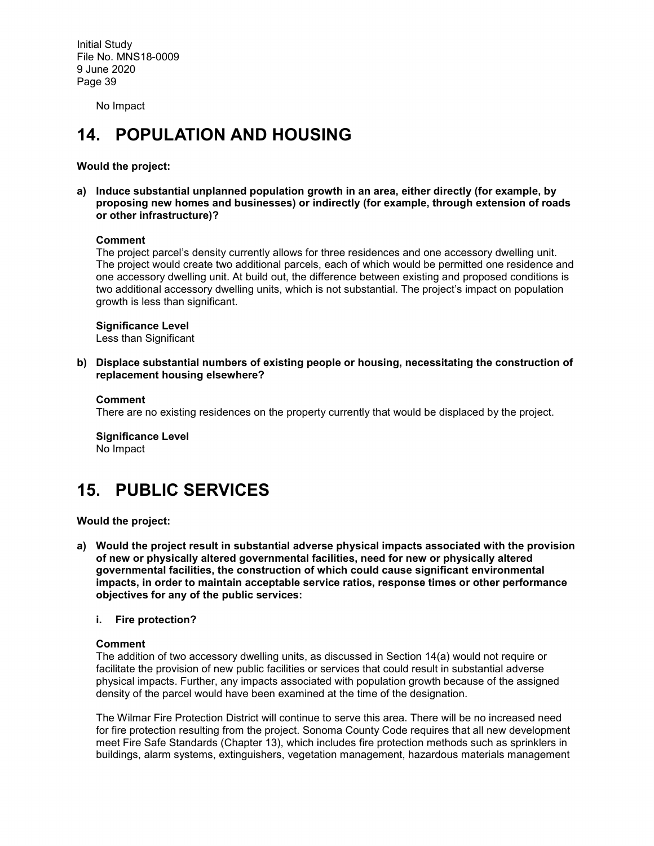No Impact

# **14. POPULATION AND HOUSING**

**Would the project:**

**a) Induce substantial unplanned population growth in an area, either directly (for example, by proposing new homes and businesses) or indirectly (for example, through extension of roads or other infrastructure)?** 

#### **Comment**

The project parcel's density currently allows for three residences and one accessory dwelling unit. The project would create two additional parcels, each of which would be permitted one residence and one accessory dwelling unit. At build out, the difference between existing and proposed conditions is two additional accessory dwelling units, which is not substantial. The project's impact on population growth is less than significant.

#### **Significance Level**

Less than Significant

**b) Displace substantial numbers of existing people or housing, necessitating the construction of replacement housing elsewhere?**

#### **Comment**

There are no existing residences on the property currently that would be displaced by the project.

**Significance Level** No Impact

## **15. PUBLIC SERVICES**

**Would the project:**

- **a) Would the project result in substantial adverse physical impacts associated with the provision of new or physically altered governmental facilities, need for new or physically altered governmental facilities, the construction of which could cause significant environmental impacts, in order to maintain acceptable service ratios, response times or other performance objectives for any of the public services:**
	- **i. Fire protection?**

#### **Comment**

The addition of two accessory dwelling units, as discussed in Section 14(a) would not require or facilitate the provision of new public facilities or services that could result in substantial adverse physical impacts. Further, any impacts associated with population growth because of the assigned density of the parcel would have been examined at the time of the designation.

The Wilmar Fire Protection District will continue to serve this area. There will be no increased need for fire protection resulting from the project. Sonoma County Code requires that all new development meet Fire Safe Standards (Chapter 13), which includes fire protection methods such as sprinklers in buildings, alarm systems, extinguishers, vegetation management, hazardous materials management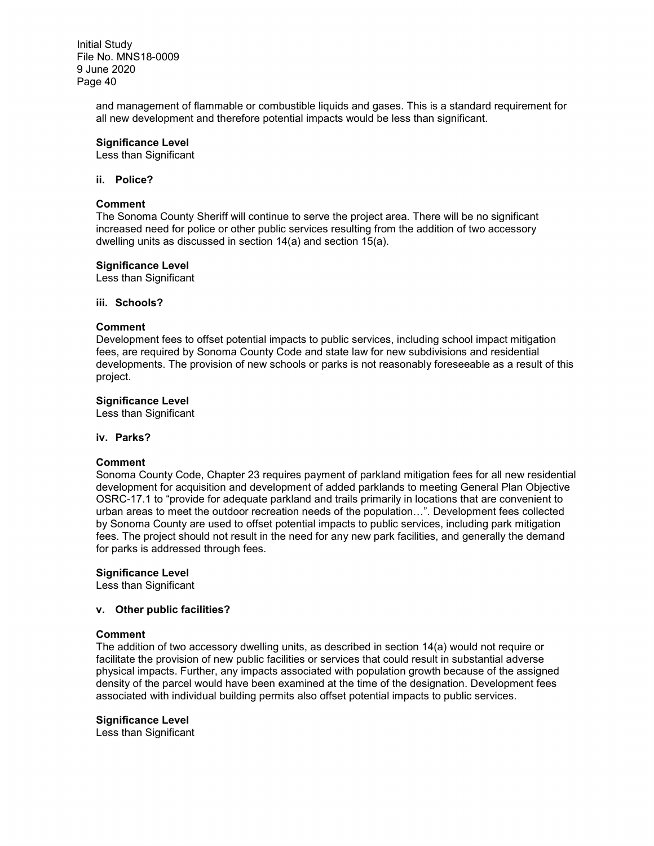> and management of flammable or combustible liquids and gases. This is a standard requirement for all new development and therefore potential impacts would be less than significant.

#### **Significance Level**

Less than Significant

#### **ii. Police?**

#### **Comment**

The Sonoma County Sheriff will continue to serve the project area. There will be no significant increased need for police or other public services resulting from the addition of two accessory dwelling units as discussed in section 14(a) and section 15(a).

#### **Significance Level**

Less than Significant

#### **iii. Schools?**

#### **Comment**

Development fees to offset potential impacts to public services, including school impact mitigation fees, are required by Sonoma County Code and state law for new subdivisions and residential developments. The provision of new schools or parks is not reasonably foreseeable as a result of this project.

#### **Significance Level**

Less than Significant

#### **iv. Parks?**

#### **Comment**

Sonoma County Code, Chapter 23 requires payment of parkland mitigation fees for all new residential development for acquisition and development of added parklands to meeting General Plan Objective OSRC-17.1 to "provide for adequate parkland and trails primarily in locations that are convenient to urban areas to meet the outdoor recreation needs of the population…". Development fees collected by Sonoma County are used to offset potential impacts to public services, including park mitigation fees. The project should not result in the need for any new park facilities, and generally the demand for parks is addressed through fees.

#### **Significance Level**

Less than Significant

#### **v. Other public facilities?**

#### **Comment**

The addition of two accessory dwelling units, as described in section 14(a) would not require or facilitate the provision of new public facilities or services that could result in substantial adverse physical impacts. Further, any impacts associated with population growth because of the assigned density of the parcel would have been examined at the time of the designation. Development fees associated with individual building permits also offset potential impacts to public services.

#### **Significance Level**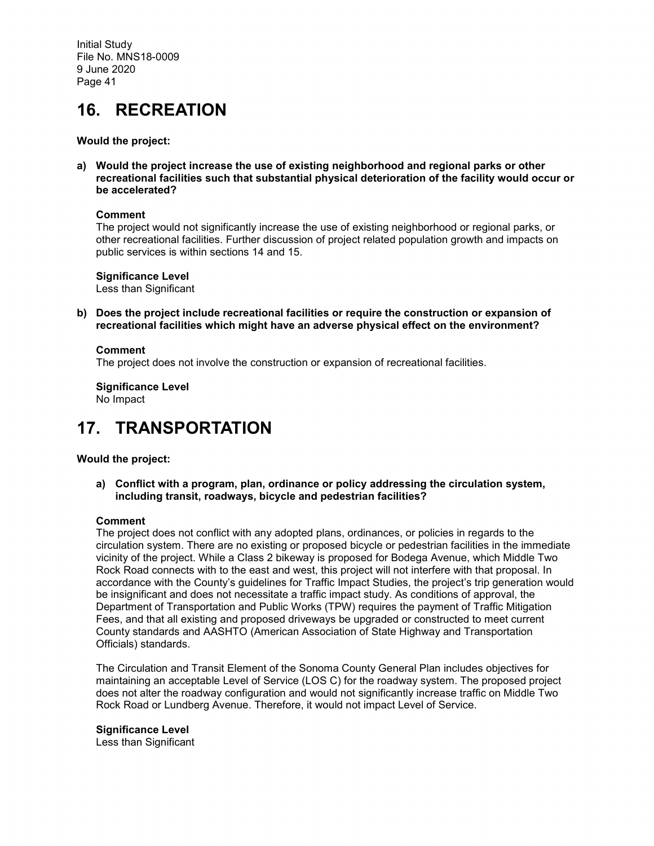## **16. RECREATION**

#### **Would the project:**

**a) Would the project increase the use of existing neighborhood and regional parks or other recreational facilities such that substantial physical deterioration of the facility would occur or be accelerated?**

#### **Comment**

The project would not significantly increase the use of existing neighborhood or regional parks, or other recreational facilities. Further discussion of project related population growth and impacts on public services is within sections 14 and 15.

**Significance Level** Less than Significant

**b) Does the project include recreational facilities or require the construction or expansion of recreational facilities which might have an adverse physical effect on the environment?**

#### **Comment**

The project does not involve the construction or expansion of recreational facilities.

**Significance Level** No Impact

### **17. TRANSPORTATION**

#### **Would the project:**

**a) Conflict with a program, plan, ordinance or policy addressing the circulation system, including transit, roadways, bicycle and pedestrian facilities?**

#### **Comment**

The project does not conflict with any adopted plans, ordinances, or policies in regards to the circulation system. There are no existing or proposed bicycle or pedestrian facilities in the immediate vicinity of the project. While a Class 2 bikeway is proposed for Bodega Avenue, which Middle Two Rock Road connects with to the east and west, this project will not interfere with that proposal. In accordance with the County's guidelines for Traffic Impact Studies, the project's trip generation would be insignificant and does not necessitate a traffic impact study. As conditions of approval, the Department of Transportation and Public Works (TPW) requires the payment of Traffic Mitigation Fees, and that all existing and proposed driveways be upgraded or constructed to meet current County standards and AASHTO (American Association of State Highway and Transportation Officials) standards.

The Circulation and Transit Element of the Sonoma County General Plan includes objectives for maintaining an acceptable Level of Service (LOS C) for the roadway system. The proposed project does not alter the roadway configuration and would not significantly increase traffic on Middle Two Rock Road or Lundberg Avenue. Therefore, it would not impact Level of Service.

#### **Significance Level**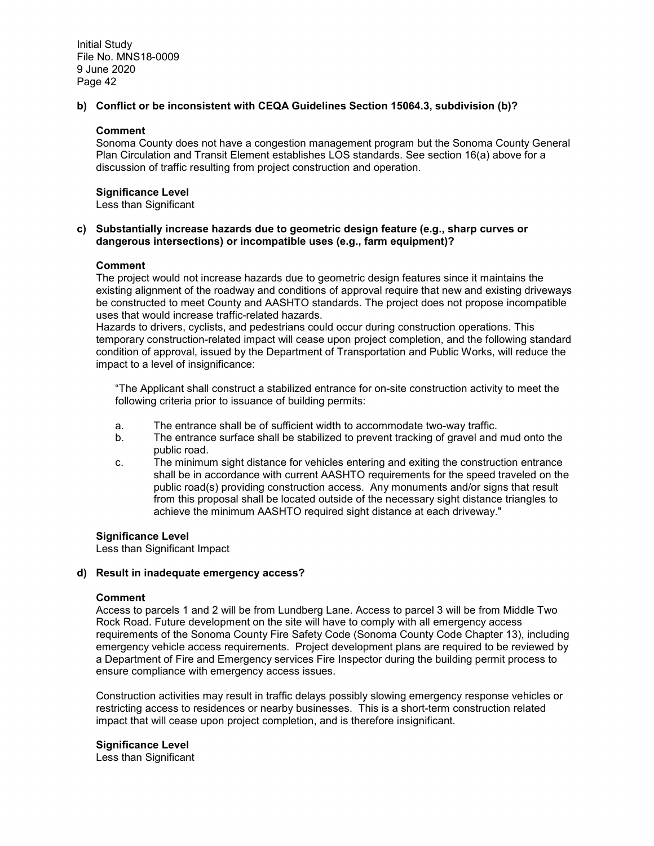#### **b) Conflict or be inconsistent with CEQA Guidelines Section 15064.3, subdivision (b)?**

#### **Comment**

Sonoma County does not have a congestion management program but the Sonoma County General Plan Circulation and Transit Element establishes LOS standards. See section 16(a) above for a discussion of traffic resulting from project construction and operation.

#### **Significance Level**

Less than Significant

#### **c) Substantially increase hazards due to geometric design feature (e.g., sharp curves or dangerous intersections) or incompatible uses (e.g., farm equipment)?**

#### **Comment**

The project would not increase hazards due to geometric design features since it maintains the existing alignment of the roadway and conditions of approval require that new and existing driveways be constructed to meet County and AASHTO standards. The project does not propose incompatible uses that would increase traffic-related hazards.

Hazards to drivers, cyclists, and pedestrians could occur during construction operations. This temporary construction-related impact will cease upon project completion, and the following standard condition of approval, issued by the Department of Transportation and Public Works, will reduce the impact to a level of insignificance:

"The Applicant shall construct a stabilized entrance for on-site construction activity to meet the following criteria prior to issuance of building permits:

- a. The entrance shall be of sufficient width to accommodate two-way traffic.
- b. The entrance surface shall be stabilized to prevent tracking of gravel and mud onto the public road.
- c. The minimum sight distance for vehicles entering and exiting the construction entrance shall be in accordance with current AASHTO requirements for the speed traveled on the public road(s) providing construction access. Any monuments and/or signs that result from this proposal shall be located outside of the necessary sight distance triangles to achieve the minimum AASHTO required sight distance at each driveway."

#### **Significance Level**

Less than Significant Impact

#### **d) Result in inadequate emergency access?**

#### **Comment**

Access to parcels 1 and 2 will be from Lundberg Lane. Access to parcel 3 will be from Middle Two Rock Road. Future development on the site will have to comply with all emergency access requirements of the Sonoma County Fire Safety Code (Sonoma County Code Chapter 13), including emergency vehicle access requirements. Project development plans are required to be reviewed by a Department of Fire and Emergency services Fire Inspector during the building permit process to ensure compliance with emergency access issues.

Construction activities may result in traffic delays possibly slowing emergency response vehicles or restricting access to residences or nearby businesses. This is a short-term construction related impact that will cease upon project completion, and is therefore insignificant.

#### **Significance Level**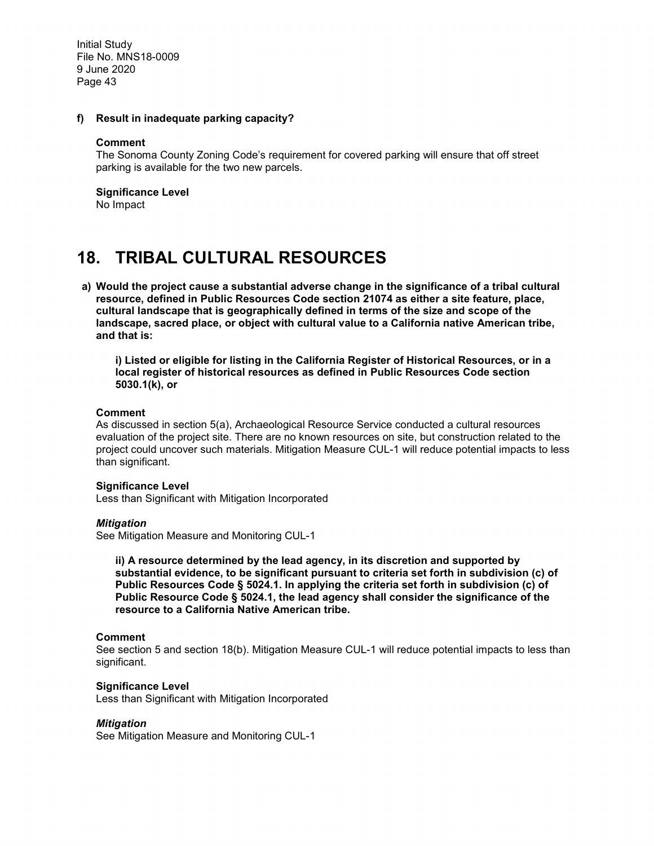#### **f) Result in inadequate parking capacity?**

#### **Comment**

The Sonoma County Zoning Code's requirement for covered parking will ensure that off street parking is available for the two new parcels.

#### **Significance Level**

No Impact

### **18. TRIBAL CULTURAL RESOURCES**

**a) Would the project cause a substantial adverse change in the significance of a tribal cultural resource, defined in Public Resources Code section 21074 as either a site feature, place, cultural landscape that is geographically defined in terms of the size and scope of the landscape, sacred place, or object with cultural value to a California native American tribe, and that is:** 

**i) Listed or eligible for listing in the California Register of Historical Resources, or in a local register of historical resources as defined in Public Resources Code section 5030.1(k), or** 

#### **Comment**

As discussed in section 5(a), Archaeological Resource Service conducted a cultural resources evaluation of the project site. There are no known resources on site, but construction related to the project could uncover such materials. Mitigation Measure CUL-1 will reduce potential impacts to less than significant.

#### **Significance Level**

Less than Significant with Mitigation Incorporated

#### *Mitigation*

See Mitigation Measure and Monitoring CUL-1

**ii) A resource determined by the lead agency, in its discretion and supported by substantial evidence, to be significant pursuant to criteria set forth in subdivision (c) of Public Resources Code § 5024.1. In applying the criteria set forth in subdivision (c) of Public Resource Code § 5024.1, the lead agency shall consider the significance of the resource to a California Native American tribe.** 

#### **Comment**

See section 5 and section 18(b). Mitigation Measure CUL-1 will reduce potential impacts to less than significant.

#### **Significance Level**

Less than Significant with Mitigation Incorporated

#### *Mitigation*

See Mitigation Measure and Monitoring CUL-1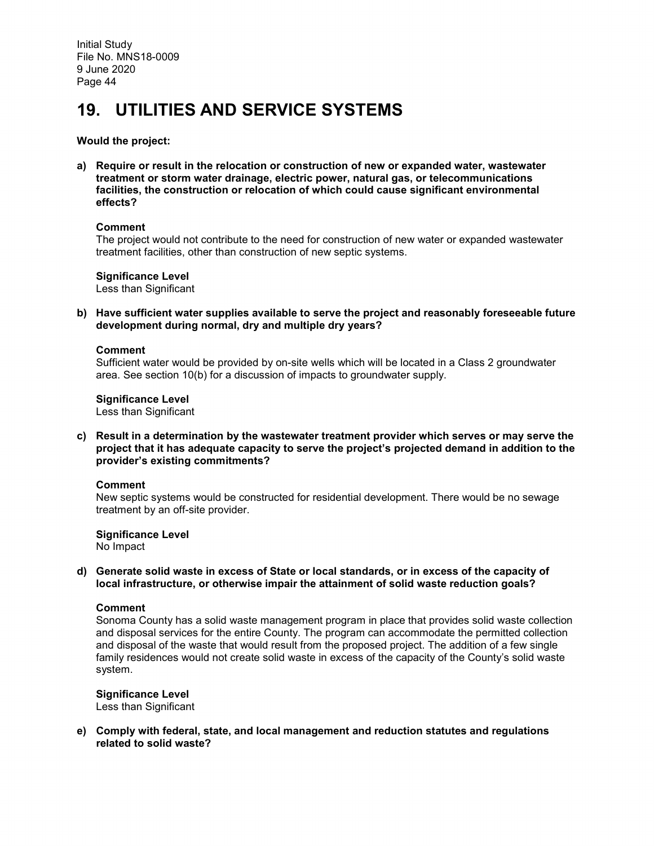# **19. UTILITIES AND SERVICE SYSTEMS**

#### **Would the project:**

**a) Require or result in the relocation or construction of new or expanded water, wastewater treatment or storm water drainage, electric power, natural gas, or telecommunications facilities, the construction or relocation of which could cause significant environmental effects?**

#### **Comment**

The project would not contribute to the need for construction of new water or expanded wastewater treatment facilities, other than construction of new septic systems.

**Significance Level** Less than Significant

**b) Have sufficient water supplies available to serve the project and reasonably foreseeable future development during normal, dry and multiple dry years?**

#### **Comment**

Sufficient water would be provided by on-site wells which will be located in a Class 2 groundwater area. See section 10(b) for a discussion of impacts to groundwater supply.

**Significance Level**

Less than Significant

**c) Result in a determination by the wastewater treatment provider which serves or may serve the project that it has adequate capacity to serve the project's projected demand in addition to the provider's existing commitments?**

#### **Comment**

New septic systems would be constructed for residential development. There would be no sewage treatment by an off-site provider.

**Significance Level** No Impact

#### **d) Generate solid waste in excess of State or local standards, or in excess of the capacity of local infrastructure, or otherwise impair the attainment of solid waste reduction goals?**

#### **Comment**

Sonoma County has a solid waste management program in place that provides solid waste collection and disposal services for the entire County. The program can accommodate the permitted collection and disposal of the waste that would result from the proposed project. The addition of a few single family residences would not create solid waste in excess of the capacity of the County's solid waste system.

**Significance Level** Less than Significant

**e) Comply with federal, state, and local management and reduction statutes and regulations related to solid waste?**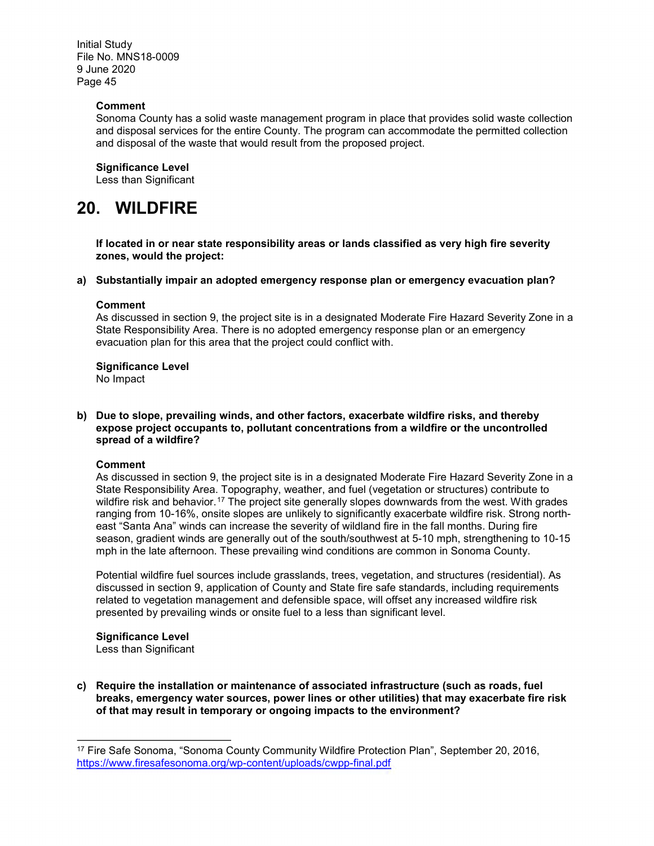#### **Comment**

Sonoma County has a solid waste management program in place that provides solid waste collection and disposal services for the entire County. The program can accommodate the permitted collection and disposal of the waste that would result from the proposed project.

#### **Significance Level**

Less than Significant

### **20. WILDFIRE**

**If located in or near state responsibility areas or lands classified as very high fire severity zones, would the project:**

#### **a) Substantially impair an adopted emergency response plan or emergency evacuation plan?**

#### **Comment**

As discussed in section 9, the project site is in a designated Moderate Fire Hazard Severity Zone in a State Responsibility Area. There is no adopted emergency response plan or an emergency evacuation plan for this area that the project could conflict with.

#### **Significance Level**

No Impact

#### **b) Due to slope, prevailing winds, and other factors, exacerbate wildfire risks, and thereby expose project occupants to, pollutant concentrations from a wildfire or the uncontrolled spread of a wildfire?**

#### **Comment**

As discussed in section 9, the project site is in a designated Moderate Fire Hazard Severity Zone in a State Responsibility Area. Topography, weather, and fuel (vegetation or structures) contribute to wildfire risk and behavior.<sup>[17](#page-44-0)</sup> The project site generally slopes downwards from the west. With grades ranging from 10-16%, onsite slopes are unlikely to significantly exacerbate wildfire risk. Strong northeast "Santa Ana" winds can increase the severity of wildland fire in the fall months. During fire season, gradient winds are generally out of the south/southwest at 5-10 mph, strengthening to 10-15 mph in the late afternoon. These prevailing wind conditions are common in Sonoma County.

Potential wildfire fuel sources include grasslands, trees, vegetation, and structures (residential). As discussed in section 9, application of County and State fire safe standards, including requirements related to vegetation management and defensible space, will offset any increased wildfire risk presented by prevailing winds or onsite fuel to a less than significant level.

#### **Significance Level**

 $\overline{a}$ 

Less than Significant

**c) Require the installation or maintenance of associated infrastructure (such as roads, fuel breaks, emergency water sources, power lines or other utilities) that may exacerbate fire risk of that may result in temporary or ongoing impacts to the environment?** 

<span id="page-44-0"></span><sup>17</sup> Fire Safe Sonoma, "Sonoma County Community Wildfire Protection Plan", September 20, 2016, <https://www.firesafesonoma.org/wp-content/uploads/cwpp-final.pdf>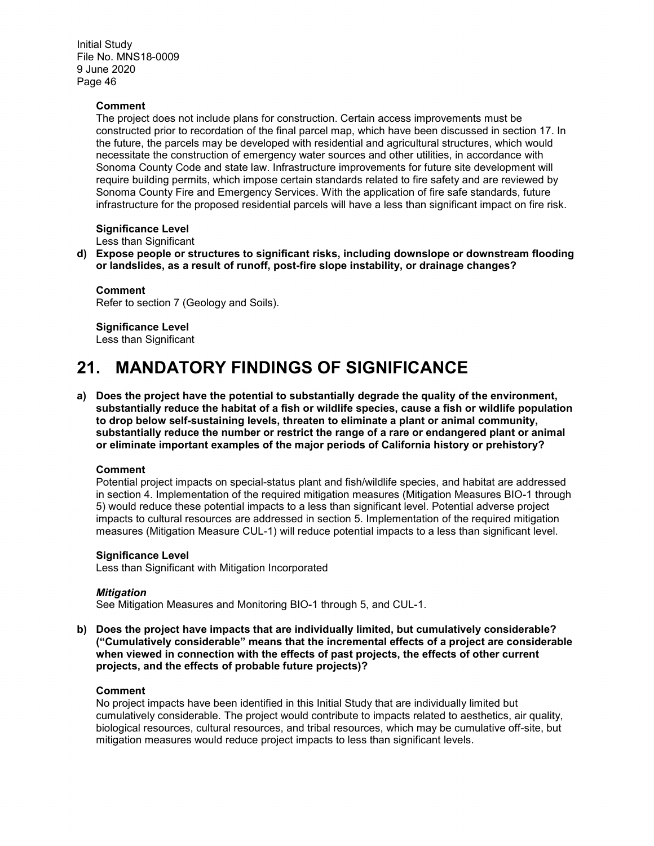#### **Comment**

The project does not include plans for construction. Certain access improvements must be constructed prior to recordation of the final parcel map, which have been discussed in section 17. In the future, the parcels may be developed with residential and agricultural structures, which would necessitate the construction of emergency water sources and other utilities, in accordance with Sonoma County Code and state law. Infrastructure improvements for future site development will require building permits, which impose certain standards related to fire safety and are reviewed by Sonoma County Fire and Emergency Services. With the application of fire safe standards, future infrastructure for the proposed residential parcels will have a less than significant impact on fire risk.

#### **Significance Level**

Less than Significant

**d) Expose people or structures to significant risks, including downslope or downstream flooding or landslides, as a result of runoff, post-fire slope instability, or drainage changes?**

**Comment** Refer to section 7 (Geology and Soils).

**Significance Level** Less than Significant

# **21. MANDATORY FINDINGS OF SIGNIFICANCE**

**a) Does the project have the potential to substantially degrade the quality of the environment, substantially reduce the habitat of a fish or wildlife species, cause a fish or wildlife population to drop below self-sustaining levels, threaten to eliminate a plant or animal community, substantially reduce the number or restrict the range of a rare or endangered plant or animal or eliminate important examples of the major periods of California history or prehistory?** 

#### **Comment**

Potential project impacts on special-status plant and fish/wildlife species, and habitat are addressed in section 4. Implementation of the required mitigation measures (Mitigation Measures BIO-1 through 5) would reduce these potential impacts to a less than significant level. Potential adverse project impacts to cultural resources are addressed in section 5. Implementation of the required mitigation measures (Mitigation Measure CUL-1) will reduce potential impacts to a less than significant level.

#### **Significance Level**

Less than Significant with Mitigation Incorporated

#### *Mitigation*

See Mitigation Measures and Monitoring BIO-1 through 5, and CUL-1.

**b) Does the project have impacts that are individually limited, but cumulatively considerable? ("Cumulatively considerable" means that the incremental effects of a project are considerable when viewed in connection with the effects of past projects, the effects of other current projects, and the effects of probable future projects)?** 

#### **Comment**

No project impacts have been identified in this Initial Study that are individually limited but cumulatively considerable. The project would contribute to impacts related to aesthetics, air quality, biological resources, cultural resources, and tribal resources, which may be cumulative off-site, but mitigation measures would reduce project impacts to less than significant levels.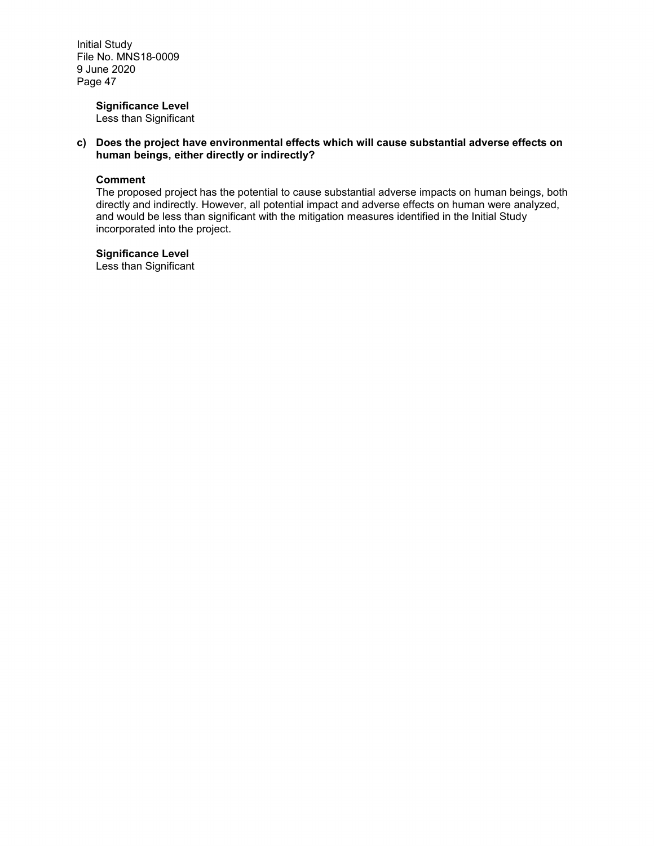#### **Significance Level**

Less than Significant

**c) Does the project have environmental effects which will cause substantial adverse effects on human beings, either directly or indirectly?** 

#### **Comment**

The proposed project has the potential to cause substantial adverse impacts on human beings, both directly and indirectly. However, all potential impact and adverse effects on human were analyzed, and would be less than significant with the mitigation measures identified in the Initial Study incorporated into the project.

**Significance Level**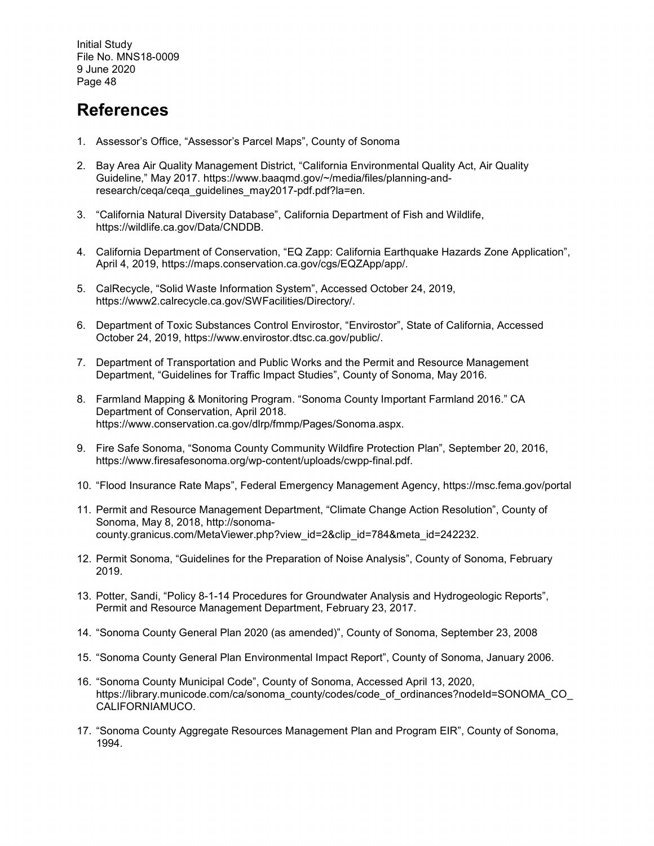### **References**

- 1. Assessor's Office, "Assessor's Parcel Maps", County of Sonoma
- 2. Bay Area Air Quality Management District, "California Environmental Quality Act, Air Quality Guideline," May 2017. https://www.baaqmd.gov/~/media/files/planning-andresearch/ceqa/ceqa\_guidelines\_may2017-pdf.pdf?la=en.
- 3. "California Natural Diversity Database", California Department of Fish and Wildlife, https://wildlife.ca.gov/Data/CNDDB.
- 4. California Department of Conservation, "EQ Zapp: California Earthquake Hazards Zone Application", April 4, 2019, https://maps.conservation.ca.gov/cgs/EQZApp/app/.
- 5. CalRecycle, "Solid Waste Information System", Accessed October 24, 2019, https://www2.calrecycle.ca.gov/SWFacilities/Directory/.
- 6. Department of Toxic Substances Control Envirostor, "Envirostor", State of California, Accessed October 24, 2019, https://www.envirostor.dtsc.ca.gov/public/.
- 7. Department of Transportation and Public Works and the Permit and Resource Management Department, "Guidelines for Traffic Impact Studies", County of Sonoma, May 2016.
- 8. Farmland Mapping & Monitoring Program. "Sonoma County Important Farmland 2016." CA Department of Conservation, April 2018. https://www.conservation.ca.gov/dlrp/fmmp/Pages/Sonoma.aspx.
- 9. Fire Safe Sonoma, "Sonoma County Community Wildfire Protection Plan", September 20, 2016, https://www.firesafesonoma.org/wp-content/uploads/cwpp-final.pdf.
- 10. "Flood Insurance Rate Maps", Federal Emergency Management Agency,<https://msc.fema.gov/portal>
- 11. Permit and Resource Management Department, "Climate Change Action Resolution", County of Sonoma, May 8, 2018, http://sonomacounty.granicus.com/MetaViewer.php?view\_id=2&clip\_id=784&meta\_id=242232.
- 12. Permit Sonoma, "Guidelines for the Preparation of Noise Analysis", County of Sonoma, February 2019.
- 13. Potter, Sandi, "Policy 8-1-14 Procedures for Groundwater Analysis and Hydrogeologic Reports", Permit and Resource Management Department, February 23, 2017.
- 14. "Sonoma County General Plan 2020 (as amended)", County of Sonoma, September 23, 2008
- 15. "Sonoma County General Plan Environmental Impact Report", County of Sonoma, January 2006.
- 16. "Sonoma County Municipal Code", County of Sonoma, Accessed April 13, 2020, https://library.municode.com/ca/sonoma\_county/codes/code\_of\_ordinances?nodeId=SONOMA\_CO CALIFORNIAMUCO.
- 17. "Sonoma County Aggregate Resources Management Plan and Program EIR", County of Sonoma, 1994.